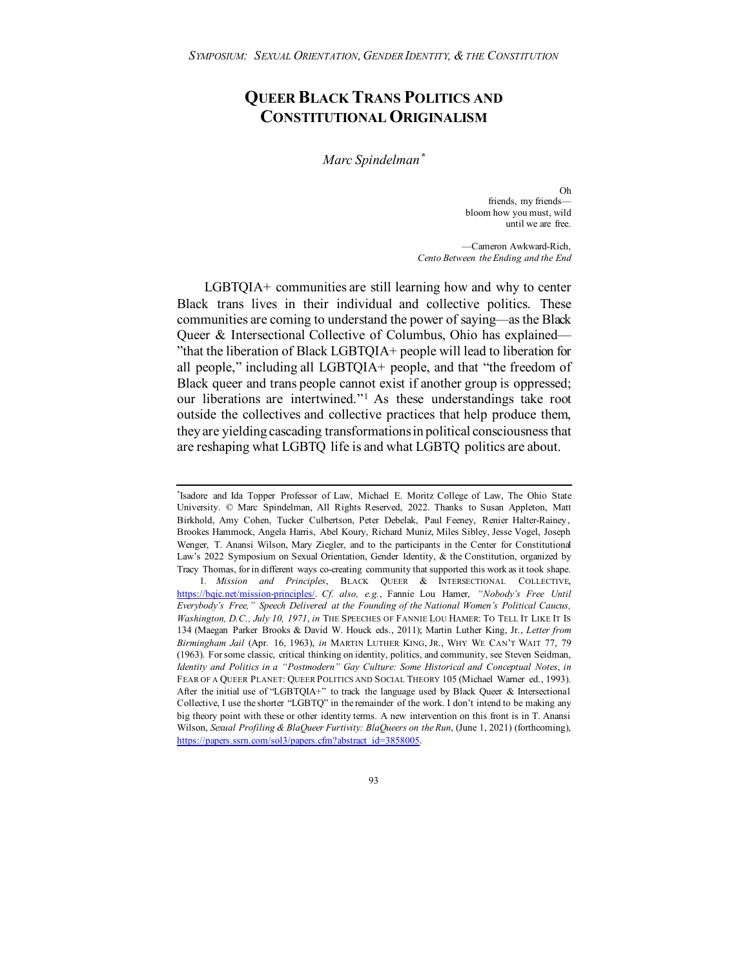# **QUEER BLACK TRANS POLITICS AND CONSTITUTIONAL ORIGINALISM**

*Marc Spindelman[\\*](#page-0-0)*

Oh friends, my friends bloom how you must, wild until we are free.

<span id="page-0-2"></span>—Cameron Awkward-Rich, *Cento Between the Ending and the End*

LGBTQIA+ communities are still learning how and why to center Black trans lives in their individual and collective politics. These communities are coming to understand the power of saying—as the Black Queer & Intersectional Collective of Columbus, Ohio has explained— "that the liberation of Black LGBTQIA+ people will lead to liberation for all people," including all LGBTQIA+ people, and that "the freedom of Black queer and trans people cannot exist if another group is oppressed; our liberations are intertwined."[1](#page-0-1) As these understandings take root outside the collectives and collective practices that help produce them, they are yielding cascading transformations in political consciousness that are reshaping what LGBTQ life is and what LGBTQ politics are about.

<span id="page-0-0"></span><sup>\*</sup> Isadore and Ida Topper Professor of Law, Michael E. Moritz College of Law, The Ohio State University. © Marc Spindelman, All Rights Reserved, 2022. Thanks to Susan Appleton, Matt Birkhold, Amy Cohen, Tucker Culbertson, Peter Debelak, Paul Feeney, Renier Halter-Rainey, Brookes Hammock, Angela Harris, Abel Koury, Richard Muniz, Miles Sibley, Jesse Vogel, Joseph Wenger, T. Anansi Wilson, Mary Ziegler, and to the participants in the Center for Constitutional Law's 2022 Symposium on Sexual Orientation, Gender Identity, & the Constitution, organized by Tracy Thomas, for in different ways co-creating community that supported this work as it took shape.

<span id="page-0-1"></span><sup>1</sup>*. Mission and Principles*, BLACK QUEER & INTERSECTIONAL COLLECTIVE, [https://bqic.net/mission-principles/.](https://bqic.net/mission-principles/) *Cf. also, e.g.*, Fannie Lou Hamer, *"Nobody's Free Until Everybody's Free," Speech Delivered at the Founding of the National Women's Political Caucus, Washington, D.C., July 10, 1971*, *in* THE SPEECHES OF FANNIE LOU HAMER: TO TELL IT LIKE IT IS 134 (Maegan Parker Brooks & David W. Houck eds., 2011); Martin Luther King, Jr., *Letter from Birmingham Jail* (Apr. 16, 1963), *in* MARTIN LUTHER KING, JR., WHY WE CAN'T WAIT 77, 79 (1963). For some classic, critical thinking on identity, politics, and community, see Steven Seidman, *Identity and Politics in a "Postmodern" Gay Culture: Some Historical and Conceptual Notes*, *in* FEAR OF A QUEER PLANET: QUEER POLITICS AND SOCIAL THEORY 105 (Michael Warner ed., 1993). After the initial use of "LGBTQIA+" to track the language used by Black Queer & Intersectional Collective, I use the shorter "LGBTQ" in the remainder of the work. I don't intend to be making any big theory point with these or other identity terms. A new intervention on this front is in T. Anansi Wilson, *Sexual Profiling & BlaQueer Furtivity: BlaQueers on the Run*, (June 1, 2021) (forthcoming), [https://papers.ssrn.com/sol3/papers.cfm?abstract\\_id=3858005.](https://papers.ssrn.com/sol3/papers.cfm?abstract_id=3858005)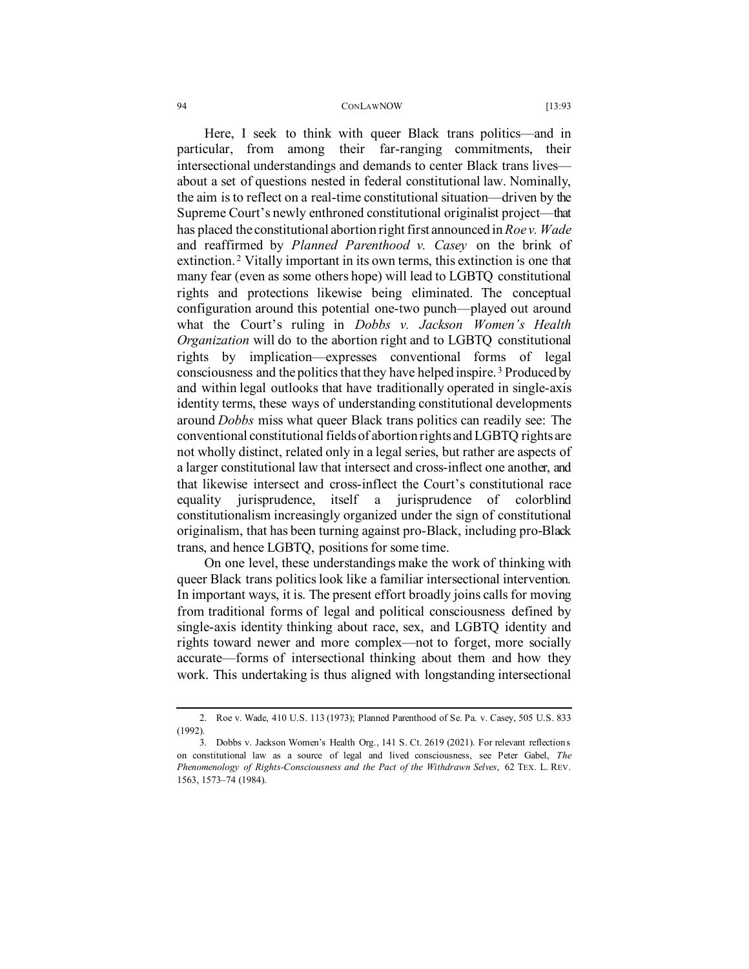Here, I seek to think with queer Black trans politics—and in particular, from among their far-ranging commitments, their intersectional understandings and demands to center Black trans lives about a set of questions nested in federal constitutional law. Nominally, the aim is to reflect on a real-time constitutional situation—driven by the Supreme Court's newly enthroned constitutional originalist project—that has placed the constitutional abortion right first announced in *Roe v. Wade* and reaffirmed by *Planned Parenthood v. Casey* on the brink of extinction. [2](#page-1-0) Vitally important in its own terms, this extinction is one that many fear (even as some others hope) will lead to LGBTQ constitutional rights and protections likewise being eliminated. The conceptual configuration around this potential one-two punch—played out around what the Court's ruling in *Dobbs v. Jackson Women's Health Organization* will do to the abortion right and to LGBTQ constitutional rights by implication—expresses conventional forms of legal consciousness and the politics that they have helped inspire. [3](#page-1-1) Produced by and within legal outlooks that have traditionally operated in single-axis identity terms, these ways of understanding constitutional developments around *Dobbs* miss what queer Black trans politics can readily see: The conventional constitutional fields of abortion rights and LGBTQ rights are not wholly distinct, related only in a legal series, but rather are aspects of a larger constitutional law that intersect and cross-inflect one another, and that likewise intersect and cross-inflect the Court's constitutional race equality jurisprudence, itself a jurisprudence of colorblind constitutionalism increasingly organized under the sign of constitutional originalism, that has been turning against pro-Black, including pro-Black trans, and hence LGBTQ, positions for some time.

On one level, these understandings make the work of thinking with queer Black trans politics look like a familiar intersectional intervention. In important ways, it is. The present effort broadly joins calls for moving from traditional forms of legal and political consciousness defined by single-axis identity thinking about race, sex, and LGBTQ identity and rights toward newer and more complex—not to forget, more socially accurate—forms of intersectional thinking about them and how they work. This undertaking is thus aligned with longstanding intersectional

<span id="page-1-0"></span><sup>2.</sup> Roe v. Wade, 410 U.S. 113 (1973); Planned Parenthood of Se. Pa. v. Casey, 505 U.S. 833 (1992).

<span id="page-1-1"></span><sup>3.</sup> Dobbs v. Jackson Women's Health Org., 141 S. Ct. 2619 (2021). For relevant reflections on constitutional law as a source of legal and lived consciousness, see Peter Gabel, *The Phenomenology of Rights-Consciousness and the Pact of the Withdrawn Selves*, 62 TEX. L. REV. 1563, 1573–74 (1984).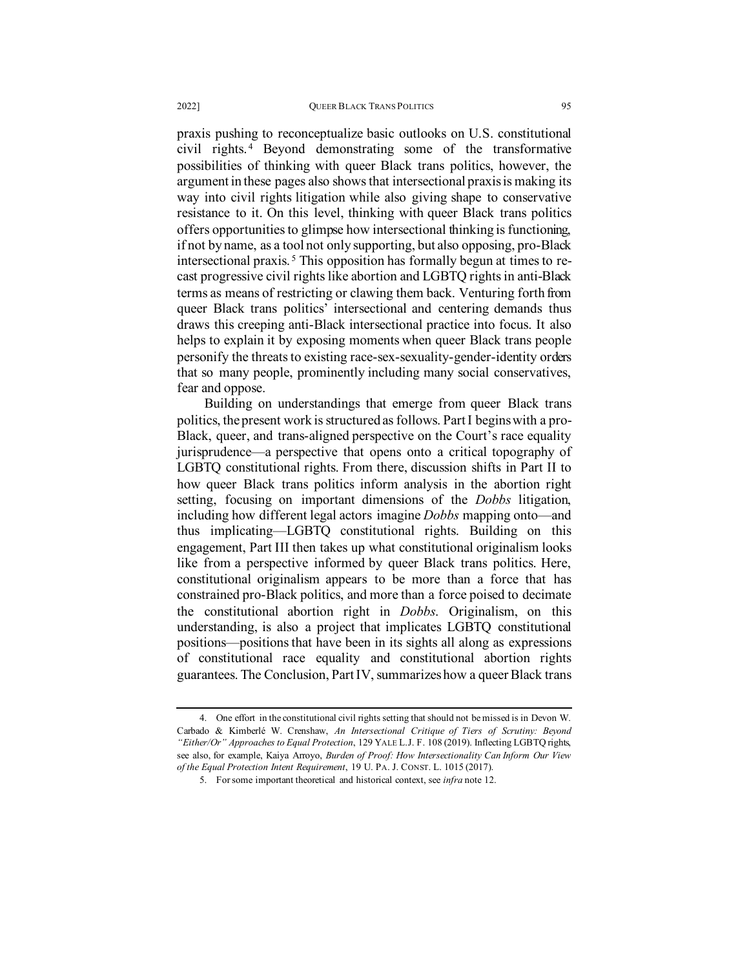praxis pushing to reconceptualize basic outlooks on U.S. constitutional civil rights. [4](#page-2-0) Beyond demonstrating some of the transformative possibilities of thinking with queer Black trans politics, however, the argument in these pages also shows that intersectional praxis is making its way into civil rights litigation while also giving shape to conservative resistance to it. On this level, thinking with queer Black trans politics offers opportunities to glimpse how intersectional thinking is functioning, if not by name, as a tool not only supporting, but also opposing, pro-Black intersectional praxis. [5](#page-2-1) This opposition has formally begun at times to recast progressive civil rights like abortion and LGBTQ rights in anti-Black terms as means of restricting or clawing them back. Venturing forth from queer Black trans politics' intersectional and centering demands thus draws this creeping anti-Black intersectional practice into focus. It also helps to explain it by exposing moments when queer Black trans people personify the threats to existing race-sex-sexuality-gender-identity orders that so many people, prominently including many social conservatives, fear and oppose.

Building on understandings that emerge from queer Black trans politics, the present work is structured as follows. Part I begins with a pro-Black, queer, and trans-aligned perspective on the Court's race equality jurisprudence—a perspective that opens onto a critical topography of LGBTQ constitutional rights. From there, discussion shifts in Part II to how queer Black trans politics inform analysis in the abortion right setting, focusing on important dimensions of the *Dobbs* litigation, including how different legal actors imagine *Dobbs* mapping onto—and thus implicating—LGBTQ constitutional rights. Building on this engagement, Part III then takes up what constitutional originalism looks like from a perspective informed by queer Black trans politics. Here, constitutional originalism appears to be more than a force that has constrained pro-Black politics, and more than a force poised to decimate the constitutional abortion right in *Dobbs*. Originalism, on this understanding, is also a project that implicates LGBTQ constitutional positions—positions that have been in its sights all along as expressions of constitutional race equality and constitutional abortion rights guarantees. The Conclusion, Part IV, summarizes how a queer Black trans

<span id="page-2-1"></span><span id="page-2-0"></span><sup>4.</sup> One effort in the constitutional civil rights setting that should not be missed is in Devon W. Carbado & Kimberlé W. Crenshaw, *An Intersectional Critique of Tiers of Scrutiny: Beyond "Either/Or" Approaches to Equal Protection*, 129 YALE L.J. F. 108 (2019). Inflecting LGBTQ rights, see also, for example, Kaiya Arroyo, *Burden of Proof: How Intersectionality Can Inform Our View of the Equal Protection Intent Requirement*, 19 U. PA. J. CONST. L. 1015 (2017).

<sup>5.</sup> For some important theoretical and historical context, see *infra* note [12.](#page-5-0)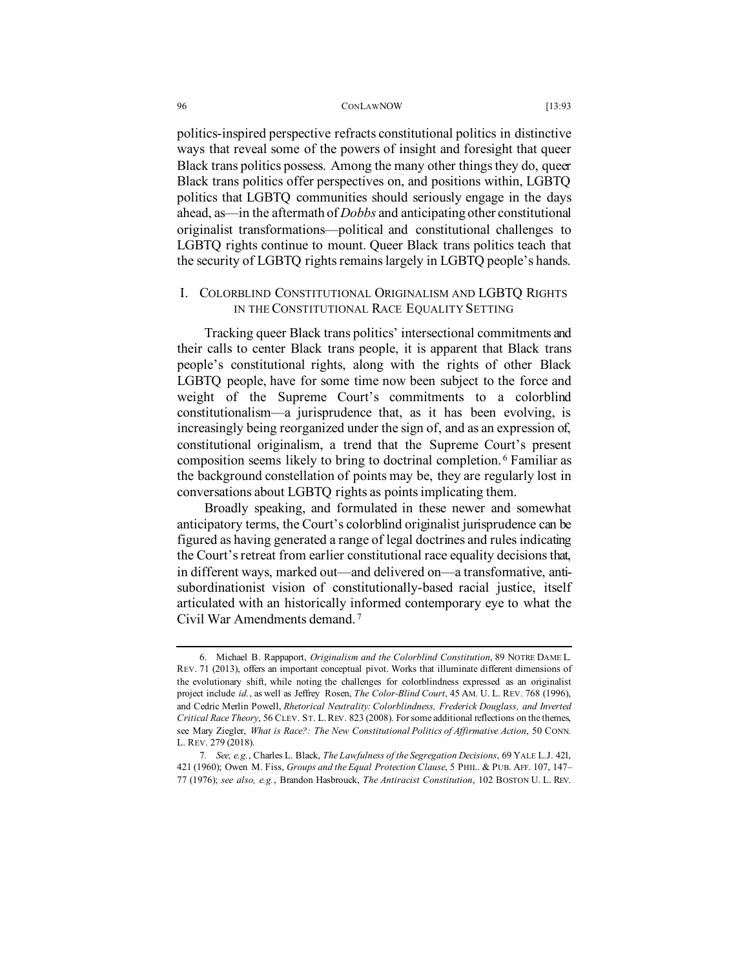politics-inspired perspective refracts constitutional politics in distinctive ways that reveal some of the powers of insight and foresight that queer Black trans politics possess. Among the many other things they do, queer Black trans politics offer perspectives on, and positions within, LGBTQ politics that LGBTQ communities should seriously engage in the days ahead, as—in the aftermath of *Dobbs* and anticipating other constitutional originalist transformations—political and constitutional challenges to LGBTQ rights continue to mount. Queer Black trans politics teach that the security of LGBTQ rights remains largely in LGBTQ people's hands.

# I. COLORBLIND CONSTITUTIONAL ORIGINALISM AND LGBTQ RIGHTS IN THE CONSTITUTIONAL RACE EQUALITY SETTING

Tracking queer Black trans politics' intersectional commitments and their calls to center Black trans people, it is apparent that Black trans people's constitutional rights, along with the rights of other Black LGBTQ people, have for some time now been subject to the force and weight of the Supreme Court's commitments to a colorblind constitutionalism—a jurisprudence that, as it has been evolving, is increasingly being reorganized under the sign of, and as an expression of, constitutional originalism, a trend that the Supreme Court's present composition seems likely to bring to doctrinal completion. [6](#page-3-0) Familiar as the background constellation of points may be, they are regularly lost in conversations about LGBTQ rights as points implicating them.

Broadly speaking, and formulated in these newer and somewhat anticipatory terms, the Court's colorblind originalist jurisprudence can be figured as having generated a range of legal doctrines and rules indicating the Court's retreat from earlier constitutional race equality decisions that, in different ways, marked out—and delivered on—a transformative, antisubordinationist vision of constitutionally-based racial justice, itself articulated with an historically informed contemporary eye to what the Civil War Amendments demand. [7](#page-3-1)

<span id="page-3-0"></span><sup>6.</sup> Michael B. Rappaport, *Originalism and the Colorblind Constitution*, 89 NOTRE DAME L. REV. 71 (2013), offers an important conceptual pivot. Works that illuminate different dimensions of the evolutionary shift, while noting the challenges for colorblindness expressed as an originalist project include *id.*, as well as Jeffrey Rosen, *The Color-Blind Court*, 45 AM. U. L. REV. 768 (1996), and Cedric Merlin Powell, *Rhetorical Neutrality: Colorblindness, Frederick Douglass, and Inverted Critical Race Theory*, 56 CLEV. ST. L.REV. 823 (2008). Forsome additional reflections on the themes, see Mary Ziegler, *What is Race?: The New Constitutional Politics of Affirmative Action*, 50 CONN. L. REV. 279 (2018).

<span id="page-3-1"></span><sup>7</sup>*. See, e.g.*, Charles L. Black, *The Lawfulness of the Segregation Decisions*, 69 YALE L.J. 421, 421 (1960); Owen M. Fiss, *Groups and the Equal Protection Clause*, 5 PHIL. & PUB. AFF. 107, 147– 77 (1976); *see also, e.g.*, Brandon Hasbrouck, *The Antiracist Constitution*, 102 BOSTON U. L. REV.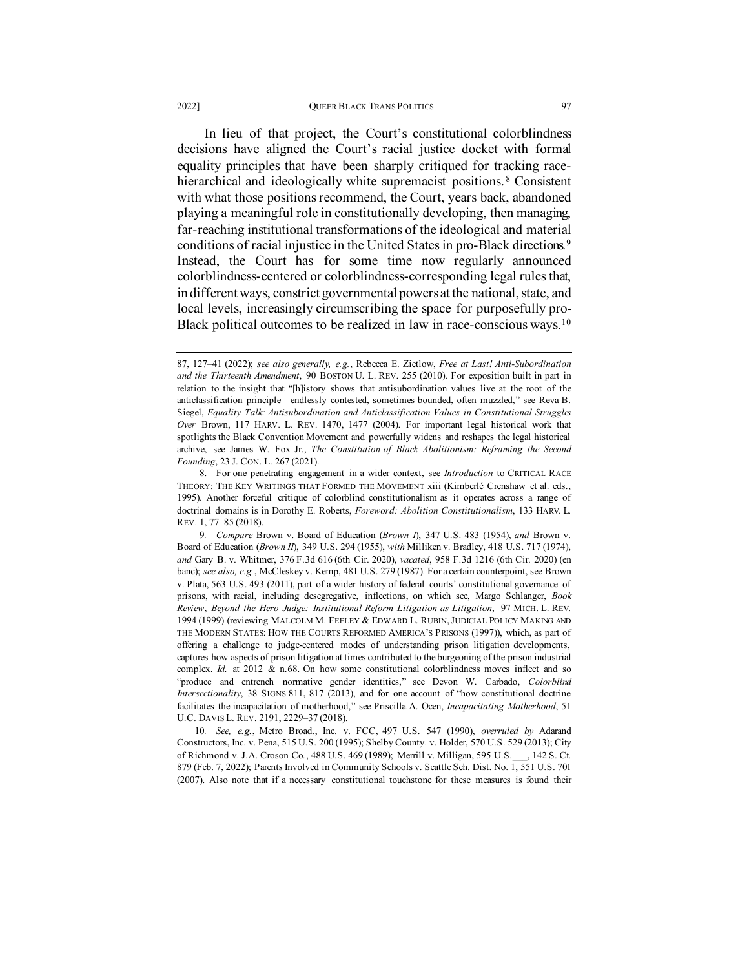### 2022] **OUEER BLACK TRANS POLITICS** 97

<span id="page-4-3"></span>In lieu of that project, the Court's constitutional colorblindness decisions have aligned the Court's racial justice docket with formal equality principles that have been sharply critiqued for tracking racehierarchical and ideologically white supremacist positions. [8](#page-4-0) Consistent with what those positions recommend, the Court, years back, abandoned playing a meaningful role in constitutionally developing, then managing, far-reaching institutional transformations of the ideological and material conditions of racial injustice in the United States in pro-Black directions.[9](#page-4-1) Instead, the Court has for some time now regularly announced colorblindness-centered or colorblindness-corresponding legal rules that, in different ways, constrict governmental powers at the national, state, and local levels, increasingly circumscribing the space for purposefully pro-Black political outcomes to be realized in law in race-conscious ways.<sup>[10](#page-4-2)</sup>

<sup>87, 127–41 (2022);</sup> *see also generally, e.g.*, Rebecca E. Zietlow, *Free at Last! Anti-Subordination and the Thirteenth Amendment*, 90 BOSTON U. L. REV. 255 (2010). For exposition built in part in relation to the insight that "[h]istory shows that antisubordination values live at the root of the anticlassification principle—endlessly contested, sometimes bounded, often muzzled," see Reva B. Siegel, *Equality Talk: Antisubordination and Anticlassification Values in Constitutional Struggles Over* Brown, 117 HARV. L. REV. 1470, 1477 (2004). For important legal historical work that spotlights the Black Convention Movement and powerfully widens and reshapes the legal historical archive, see James W. Fox Jr., *The Constitution of Black Abolitionism: Reframing the Second Founding*, 23 J. CON. L. 267 (2021).

<span id="page-4-0"></span><sup>8.</sup> For one penetrating engagement in a wider context, see *Introduction* to CRITICAL RACE THEORY: THE KEY WRITINGS THAT FORMED THE MOVEMENT xiii (Kimberlé Crenshaw et al. eds., 1995). Another forceful critique of colorblind constitutionalism as it operates across a range of doctrinal domains is in Dorothy E. Roberts, *Foreword: Abolition Constitutionalism*, 133 HARV. L. REV. 1, 77–85 (2018).

<span id="page-4-1"></span><sup>9</sup>*. Compare* Brown v. Board of Education (*Brown I*), 347 U.S. 483 (1954), *and* Brown v. Board of Education (*Brown II*), 349 U.S. 294 (1955), *with* Milliken v. Bradley, 418 U.S. 717 (1974), *and* Gary B. v. Whitmer, 376 F.3d 616 (6th Cir. 2020), *vacated*, 958 F.3d 1216 (6th Cir. 2020) (en banc); *see also, e.g.*, McCleskey v. Kemp, 481 U.S. 279 (1987). For a certain counterpoint, see Brown v. Plata, 563 U.S. 493 (2011), part of a wider history of federal courts' constitutional governance of prisons, with racial, including desegregative, inflections, on which see, Margo Schlanger, *Book Review*, *Beyond the Hero Judge: Institutional Reform Litigation as Litigation*, 97 MICH. L. REV. 1994 (1999) (reviewing MALCOLM M. FEELEY & EDWARD L. RUBIN,JUDICIAL POLICY MAKING AND THE MODERN STATES: HOW THE COURTS REFORMED AMERICA'S PRISONS (1997)), which, as part of offering a challenge to judge-centered modes of understanding prison litigation developments, captures how aspects of prison litigation at times contributed to the burgeoning of the prison industrial complex. *Id.* at 2012 & n.68. On how some constitutional colorblindness moves inflect and so "produce and entrench normative gender identities," see Devon W. Carbado, *Colorblind Intersectionality*, 38 SIGNS 811, 817 (2013), and for one account of "how constitutional doctrine facilitates the incapacitation of motherhood," see Priscilla A. Ocen, *Incapacitating Motherhood*, 51 U.C. DAVIS L. REV. 2191, 2229–37 (2018).

<span id="page-4-2"></span><sup>10</sup>*. See, e.g.*, Metro Broad., Inc. v. FCC, 497 U.S. 547 (1990), *overruled by* Adarand Constructors, Inc. v. Pena, 515 U.S. 200 (1995); Shelby County. v. Holder, 570 U.S. 529 (2013); City of Richmond v. J.A. Croson Co*.*, 488 U.S. 469 (1989); Merrill v. Milligan, 595 U.S.\_\_\_, 142 S. Ct. 879 (Feb. 7, 2022); Parents Involved in Community Schools v. Seattle Sch. Dist. No. 1, 551 U.S. 701 (2007). Also note that if a necessary constitutional touchstone for these measures is found their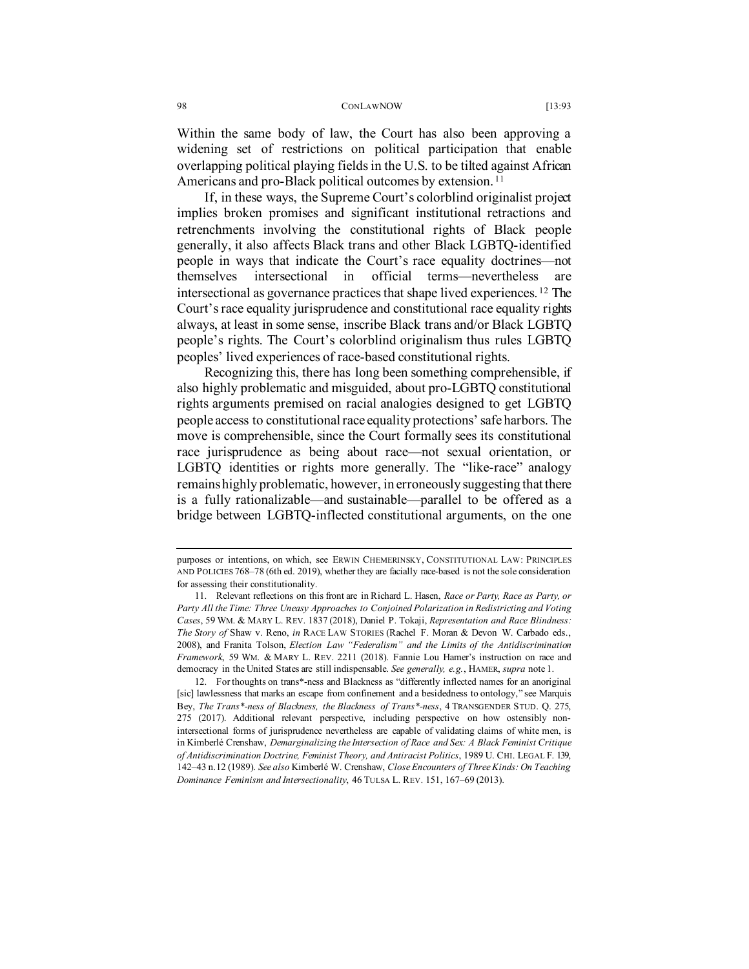Within the same body of law, the Court has also been approving a widening set of restrictions on political participation that enable overlapping political playing fields in the U.S. to be tilted against African Americans and pro-Black political outcomes by extension.<sup>[11](#page-5-1)</sup>

If, in these ways, the Supreme Court's colorblind originalist project implies broken promises and significant institutional retractions and retrenchments involving the constitutional rights of Black people generally, it also affects Black trans and other Black LGBTQ-identified people in ways that indicate the Court's race equality doctrines—not themselves intersectional in official terms—nevertheless are intersectional as governance practices that shape lived experiences. [12](#page-5-2) The Court's race equality jurisprudence and constitutional race equality rights always, at least in some sense, inscribe Black trans and/or Black LGBTQ people's rights. The Court's colorblind originalism thus rules LGBTQ peoples' lived experiences of race-based constitutional rights.

<span id="page-5-0"></span>Recognizing this, there has long been something comprehensible, if also highly problematic and misguided, about pro-LGBTQ constitutional rights arguments premised on racial analogies designed to get LGBTQ people access to constitutional race equality protections' safe harbors. The move is comprehensible, since the Court formally sees its constitutional race jurisprudence as being about race—not sexual orientation, or LGBTQ identities or rights more generally. The "like-race" analogy remains highly problematic, however, in erroneously suggesting that there is a fully rationalizable—and sustainable—parallel to be offered as a bridge between LGBTQ-inflected constitutional arguments, on the one

purposes or intentions, on which, see ERWIN CHEMERINSKY, CONSTITUTIONAL LAW: PRINCIPLES AND POLICIES 768–78 (6th ed. 2019), whether they are facially race-based is not the sole consideration for assessing their constitutionality.

<span id="page-5-1"></span><sup>11.</sup> Relevant reflections on this front are in Richard L. Hasen, *Race or Party, Race as Party, or Party All the Time: Three Uneasy Approaches to Conjoined Polarization in Redistricting and Voting Cases*, 59 WM. & MARY L. REV. 1837 (2018), Daniel P. Tokaji, *Representation and Race Blindness: The Story of* Shaw v. Reno, *in* RACE LAW STORIES (Rachel F. Moran & Devon W. Carbado eds., 2008), and Franita Tolson, *Election Law "Federalism" and the Limits of the Antidiscrimination Framework*, 59 WM. & MARY L. REV. 2211 (2018). Fannie Lou Hamer's instruction on race and democracy in the United States are still indispensable. *See generally, e.g.*, HAMER, *supra* not[e 1.](#page-0-2) 

<span id="page-5-2"></span><sup>12.</sup> For thoughts on trans\*-ness and Blackness as "differently inflected names for an anoriginal [sic] lawlessness that marks an escape from confinement and a besidedness to ontology," see Marquis Bey, *The Trans\*-ness of Blackness, the Blackness of Trans\*-ness*, 4 TRANSGENDER STUD. Q. 275, 275 (2017). Additional relevant perspective, including perspective on how ostensibly nonintersectional forms of jurisprudence nevertheless are capable of validating claims of white men, is in Kimberlé Crenshaw, *Demarginalizing the Intersection of Race and Sex: A Black Feminist Critique of Antidiscrimination Doctrine, Feminist Theory, and Antiracist Politics*, 1989 U. CHI. LEGAL F. 139, 142–43 n.12 (1989). *See also* Kimberlé W. Crenshaw, *Close Encounters of Three Kinds: On Teaching Dominance Feminism and Intersectionality*, 46 TULSA L. REV. 151, 167–69 (2013).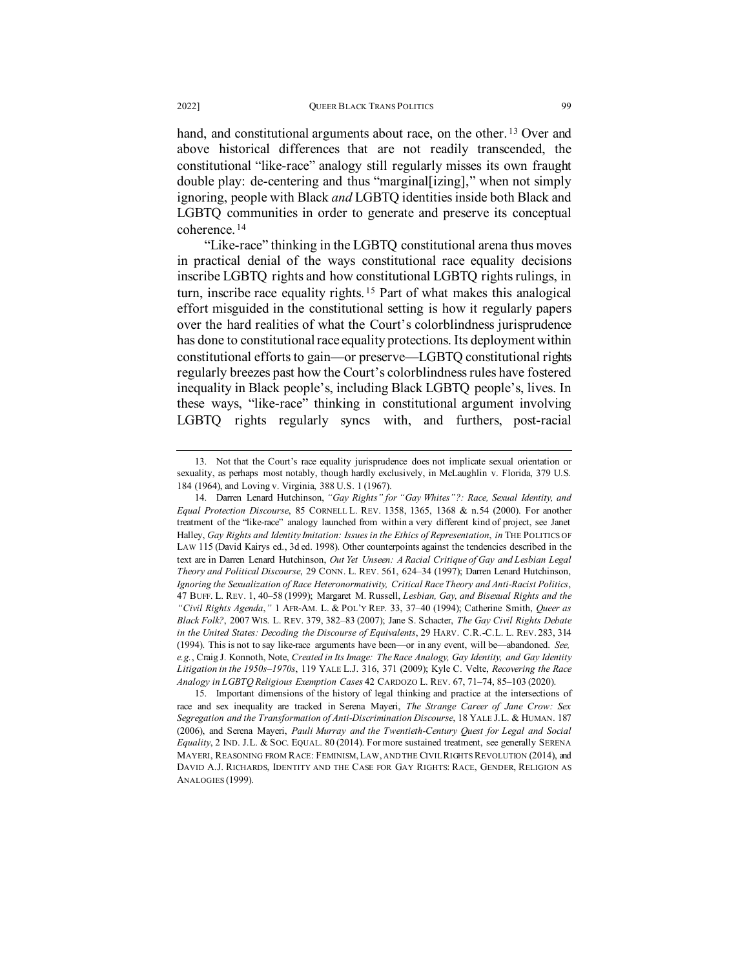hand, and constitutional arguments about race, on the other.<sup>[13](#page-6-0)</sup> Over and above historical differences that are not readily transcended, the constitutional "like-race" analogy still regularly misses its own fraught double play: de-centering and thus "marginal[izing]," when not simply ignoring, people with Black *and* LGBTQ identities inside both Black and LGBTQ communities in order to generate and preserve its conceptual coherence. [14](#page-6-1)

"Like-race" thinking in the LGBTQ constitutional arena thus moves in practical denial of the ways constitutional race equality decisions inscribe LGBTQ rights and how constitutional LGBTQ rights rulings, in turn, inscribe race equality rights. [15](#page-6-2) Part of what makes this analogical effort misguided in the constitutional setting is how it regularly papers over the hard realities of what the Court's colorblindness jurisprudence has done to constitutional race equality protections. Its deployment within constitutional efforts to gain—or preserve—LGBTQ constitutional rights regularly breezes past how the Court's colorblindness rules have fostered inequality in Black people's, including Black LGBTQ people's, lives. In these ways, "like-race" thinking in constitutional argument involving LGBTQ rights regularly syncs with, and furthers, post-racial

<span id="page-6-0"></span><sup>13.</sup> Not that the Court's race equality jurisprudence does not implicate sexual orientation or sexuality, as perhaps most notably, though hardly exclusively, in McLaughlin v. Florida, 379 U.S. 184 (1964), and Loving v. Virginia, 388 U.S. 1 (1967).

<span id="page-6-1"></span><sup>14.</sup> Darren Lenard Hutchinson, *"Gay Rights" for "Gay Whites"?: Race, Sexual Identity, and Equal Protection Discourse*, 85 CORNELL L. REV. 1358, 1365, 1368 & n.54 (2000). For another treatment of the "like-race" analogy launched from within a very different kind of project, see Janet Halley, *Gay Rights and Identity Imitation: Issues in the Ethics of Representation*, *in* THE POLITICS OF LAW 115 (David Kairys ed., 3d ed. 1998). Other counterpoints against the tendencies described in the text are in Darren Lenard Hutchinson, *Out Yet Unseen: A Racial Critique of Gay and Lesbian Legal Theory and Political Discourse*, 29 CONN. L. REV. 561, 624–34 (1997); Darren Lenard Hutchinson, *Ignoring the Sexualization of Race Heteronormativity, Critical Race Theory and Anti-Racist Politics*, 47 BUFF. L. REV. 1, 40–58 (1999); Margaret M. Russell, *Lesbian, Gay, and Bisexual Rights and the "Civil Rights Agenda*,*"* 1 AFR-AM. L. & POL'Y REP. 33, 37–40 (1994); Catherine Smith, *Queer as Black Folk?*, 2007 WIS. L. REV. 379, 382–83 (2007); Jane S. Schacter, *The Gay Civil Rights Debate in the United States: Decoding the Discourse of Equivalents*, 29 HARV. C.R.-C.L. L. REV. 283, 314 (1994). This is not to say like-race arguments have been—or in any event, will be—abandoned. *See, e.g.*, Craig J. Konnoth, Note, *Created in Its Image: The Race Analogy, Gay Identity, and Gay Identity Litigation in the 1950s–1970s*, 119 YALE L.J. 316, 371 (2009); Kyle C. Velte, *Recovering the Race Analogy in LGBTQ Religious Exemption Cases* 42 CARDOZO L. REV. 67, 71–74, 85–103 (2020).

<span id="page-6-2"></span><sup>15.</sup> Important dimensions of the history of legal thinking and practice at the intersections of race and sex inequality are tracked in Serena Mayeri, *The Strange Career of Jane Crow: Sex Segregation and the Transformation of Anti-Discrimination Discourse*, 18 YALE J.L. & HUMAN. 187 (2006), and Serena Mayeri, *Pauli Murray and the Twentieth-Century Quest for Legal and Social Equality*, 2 IND. J.L. & SOC. EQUAL. 80 (2014). For more sustained treatment, see generally SERENA MAYERI, REASONING FROM RACE: FEMINISM,LAW, AND THE CIVIL RIGHTS REVOLUTION (2014), and DAVID A.J. RICHARDS, IDENTITY AND THE CASE FOR GAY RIGHTS: RACE, GENDER, RELIGION AS ANALOGIES (1999).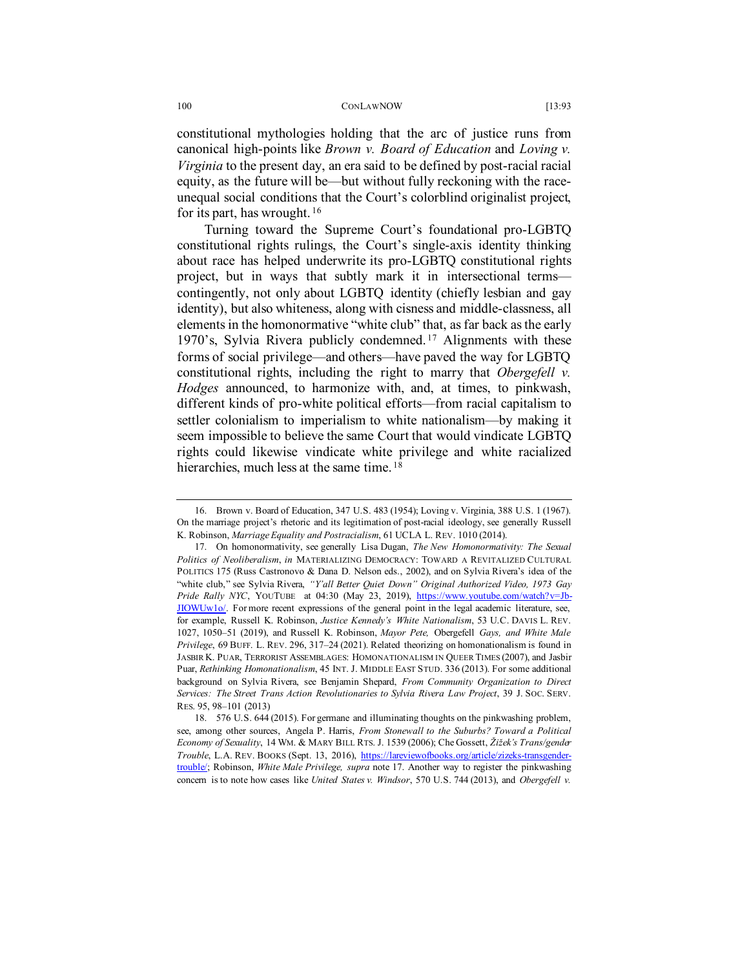constitutional mythologies holding that the arc of justice runs from canonical high-points like *Brown v. Board of Education* and *Loving v. Virginia* to the present day, an era said to be defined by post-racial racial equity, as the future will be—but without fully reckoning with the raceunequal social conditions that the Court's colorblind originalist project, for its part, has wrought. [16](#page-7-1)

<span id="page-7-0"></span>Turning toward the Supreme Court's foundational pro-LGBTQ constitutional rights rulings, the Court's single-axis identity thinking about race has helped underwrite its pro-LGBTQ constitutional rights project, but in ways that subtly mark it in intersectional terms contingently, not only about LGBTQ identity (chiefly lesbian and gay identity), but also whiteness, along with cisness and middle-classness, all elements in the homonormative "white club" that, as far back as the early 1970's, Sylvia Rivera publicly condemned. [17](#page-7-2) Alignments with these forms of social privilege—and others—have paved the way for LGBTQ constitutional rights, including the right to marry that *Obergefell v. Hodges* announced, to harmonize with, and, at times, to pinkwash, different kinds of pro-white political efforts—from racial capitalism to settler colonialism to imperialism to white nationalism—by making it seem impossible to believe the same Court that would vindicate LGBTQ rights could likewise vindicate white privilege and white racialized hierarchies, much less at the same time.<sup>[18](#page-7-3)</sup>

<span id="page-7-4"></span><span id="page-7-1"></span><sup>16.</sup> Brown v. Board of Education, 347 U.S. 483 (1954); Loving v. Virginia, 388 U.S. 1 (1967). On the marriage project's rhetoric and its legitimation of post-racial ideology, see generally Russell K. Robinson, *Marriage Equality and Postracialism*, 61 UCLA L. REV. 1010 (2014).

<span id="page-7-2"></span><sup>17.</sup> On homonormativity, see generally Lisa Dugan, *The New Homonormativity: The Sexual Politics of Neoliberalism*, *in* MATERIALIZING DEMOCRACY: TOWARD A REVITALIZED CULTURAL POLITICS 175 (Russ Castronovo & Dana D. Nelson eds., 2002), and on Sylvia Rivera's idea of the "white club," see Sylvia Rivera, *"Y'all Better Quiet Down" Original Authorized Video, 1973 Gay Pride Rally NYC*, YOUTUBE at 04:30 (May 23, 2019), [https://www.youtube.com/watch?v=Jb-](https://www.youtube.com/watch?v=Jb-JIOWUw1o/)[JIOWUw1o/.](https://www.youtube.com/watch?v=Jb-JIOWUw1o/) For more recent expressions of the general point in the legal academic literature, see, for example, Russell K. Robinson, *Justice Kennedy's White Nationalism*, 53 U.C. DAVIS L. REV. 1027, 1050–51 (2019), and Russell K. Robinson, *Mayor Pete,* Obergefell *Gays, and White Male Privilege*, 69 BUFF. L. REV. 296, 317–24 (2021). Related theorizing on homonationalism is found in JASBIR K. PUAR, TERRORIST ASSEMBLAGES: HOMONATIONALISM IN QUEER TIMES (2007), and Jasbir Puar, *Rethinking Homonationalism*, 45 INT. J. MIDDLE EAST STUD. 336 (2013). For some additional background on Sylvia Rivera, see Benjamin Shepard, *From Community Organization to Direct Services: The Street Trans Action Revolutionaries to Sylvia Rivera Law Project*, 39 J. SOC. SERV. RES. 95, 98–101 (2013)

<span id="page-7-3"></span><sup>18.</sup> 576 U.S. 644 (2015). For germane and illuminating thoughts on the pinkwashing problem, see, among other sources, Angela P. Harris, *From Stonewall to the Suburbs? Toward a Political Economy of Sexuality*, 14 WM. & MARY BILL RTS. J. 1539 (2006); Che Gossett, *Žižek's Trans/gender Trouble*, L.A. REV. BOOKS (Sept. 13, 2016[\), https://lareviewofbooks.org/article/zizeks-transgender](https://lareviewofbooks.org/article/zizeks-transgender-trouble/)[trouble/;](https://lareviewofbooks.org/article/zizeks-transgender-trouble/) Robinson, *White Male Privilege, supra* note [17.](#page-7-0) Another way to register the pinkwashing concern is to note how cases like *United States v. Windsor*, 570 U.S. 744 (2013), and *Obergefell v.*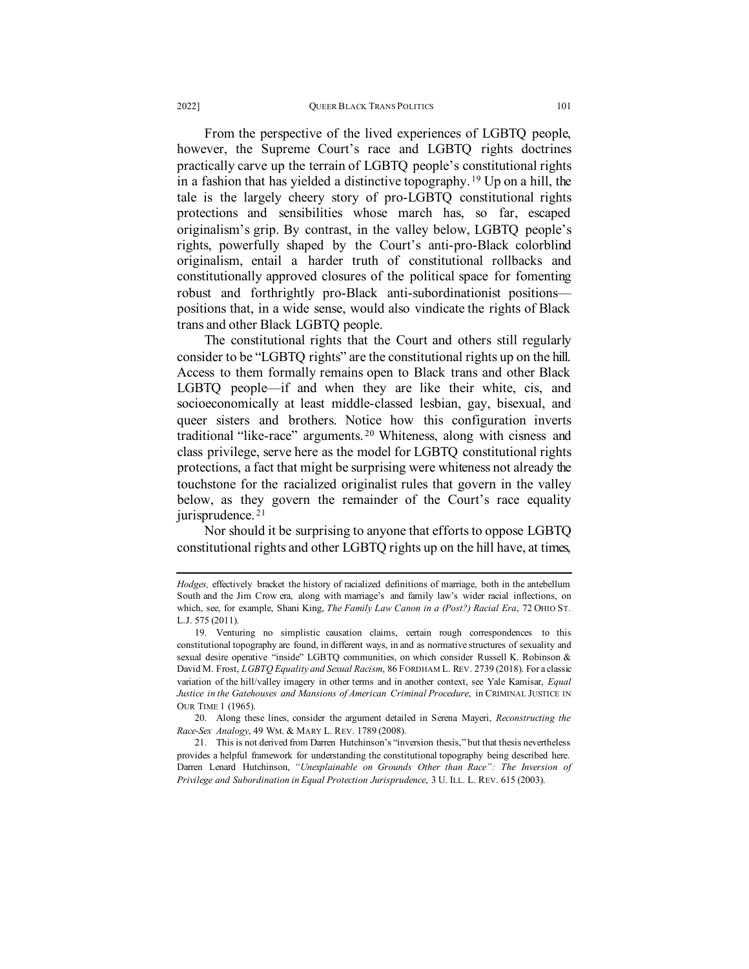From the perspective of the lived experiences of LGBTQ people, however, the Supreme Court's race and LGBTQ rights doctrines practically carve up the terrain of LGBTQ people's constitutional rights in a fashion that has yielded a distinctive topography. [19](#page-8-0) Up on a hill, the tale is the largely cheery story of pro-LGBTQ constitutional rights protections and sensibilities whose march has, so far, escaped originalism's grip. By contrast, in the valley below, LGBTQ people's rights, powerfully shaped by the Court's anti-pro-Black colorblind originalism, entail a harder truth of constitutional rollbacks and constitutionally approved closures of the political space for fomenting robust and forthrightly pro-Black anti-subordinationist positions positions that, in a wide sense, would also vindicate the rights of Black trans and other Black LGBTQ people.

The constitutional rights that the Court and others still regularly consider to be "LGBTQ rights" are the constitutional rights up on the hill. Access to them formally remains open to Black trans and other Black LGBTQ people—if and when they are like their white, cis, and socioeconomically at least middle-classed lesbian, gay, bisexual, and queer sisters and brothers. Notice how this configuration inverts traditional "like-race" arguments. [20](#page-8-1) Whiteness, along with cisness and class privilege, serve here as the model for LGBTQ constitutional rights protections, a fact that might be surprising were whiteness not already the touchstone for the racialized originalist rules that govern in the valley below, as they govern the remainder of the Court's race equality jurisprudence.<sup>[21](#page-8-2)</sup>

Nor should it be surprising to anyone that efforts to oppose LGBTQ constitutional rights and other LGBTQ rights up on the hill have, at times,

<span id="page-8-1"></span>20. Along these lines, consider the argument detailed in Serena Mayeri, *Reconstructing the Race-Sex Analogy*, 49 WM. & MARY L. REV. 1789 (2008).

*Hodges,* effectively bracket the history of racialized definitions of marriage, both in the antebellum South and the Jim Crow era, along with marriage's and family law's wider racial inflections, on which, see, for example, Shani King, *The Family Law Canon in a (Post?) Racial Era*, 72 OHIO ST. L.J. 575 (2011).

<span id="page-8-0"></span><sup>19.</sup> Venturing no simplistic causation claims, certain rough correspondences to this constitutional topography are found, in different ways, in and as normative structures of sexuality and sexual desire operative "inside" LGBTQ communities, on which consider Russell K. Robinson & David M. Frost, *LGBTQ Equality and Sexual Racism*, 86 FORDHAM L. REV. 2739 (2018). For a classic variation of the hill/valley imagery in other terms and in another context, see Yale Kamisar, *Equal Justice in the Gatehouses and Mansions of American Criminal Procedure*, in CRIMINAL JUSTICE IN OUR TIME 1 (1965).

<span id="page-8-2"></span><sup>21.</sup> This is not derived from Darren Hutchinson's "inversion thesis," but that thesis nevertheless provides a helpful framework for understanding the constitutional topography being described here. Darren Lenard Hutchinson, *"Unexplainable on Grounds Other than Race": The Inversion of Privilege and Subordination in Equal Protection Jurisprudence*, 3 U. ILL. L. REV. 615 (2003).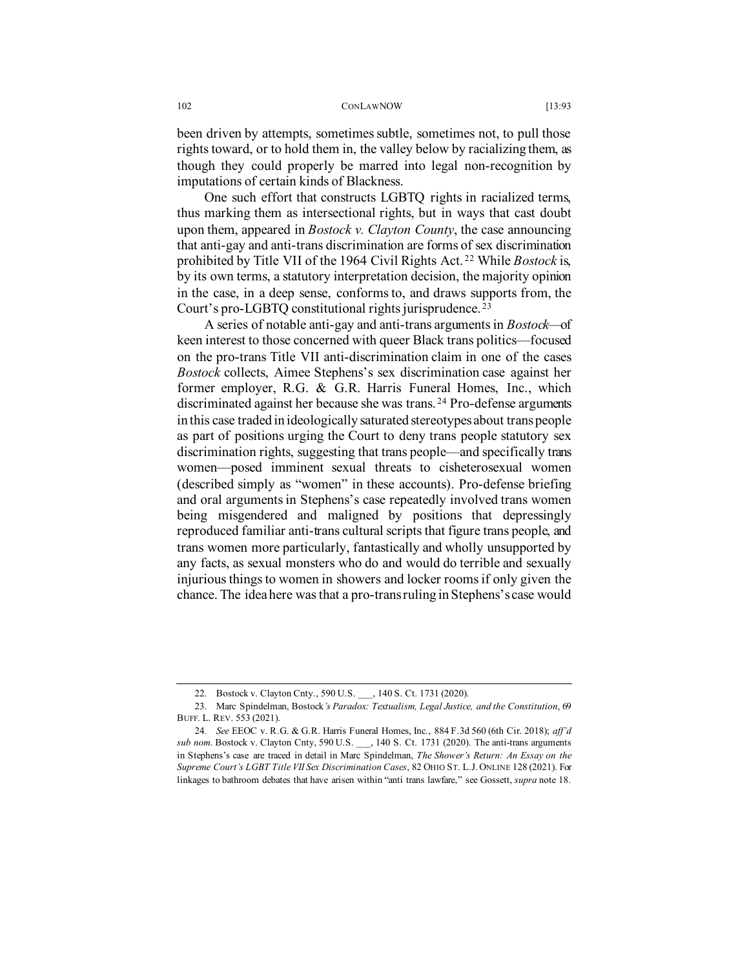been driven by attempts, sometimes subtle, sometimes not, to pull those rights toward, or to hold them in, the valley below by racializing them, as though they could properly be marred into legal non-recognition by imputations of certain kinds of Blackness.

One such effort that constructs LGBTQ rights in racialized terms, thus marking them as intersectional rights, but in ways that cast doubt upon them, appeared in *Bostock v. Clayton County*, the case announcing that anti-gay and anti-trans discrimination are forms of sex discrimination prohibited by Title VII of the 1964 Civil Rights Act. [22](#page-9-0) While *Bostock* is, by its own terms, a statutory interpretation decision, the majority opinion in the case, in a deep sense, conforms to, and draws supports from, the Court's pro-LGBTQ constitutional rights jurisprudence. [23](#page-9-1)

<span id="page-9-4"></span><span id="page-9-3"></span>A series of notable anti-gay and anti-trans arguments in *Bostock*—of keen interest to those concerned with queer Black trans politics—focused on the pro-trans Title VII anti-discrimination claim in one of the cases *Bostock* collects, Aimee Stephens's sex discrimination case against her former employer, R.G. & G.R. Harris Funeral Homes, Inc., which discriminated against her because she was trans. [24](#page-9-2) Pro-defense arguments in this case traded in ideologically saturated stereotypes about trans people as part of positions urging the Court to deny trans people statutory sex discrimination rights, suggesting that trans people—and specifically trans women—posed imminent sexual threats to cisheterosexual women (described simply as "women" in these accounts). Pro-defense briefing and oral arguments in Stephens's case repeatedly involved trans women being misgendered and maligned by positions that depressingly reproduced familiar anti-trans cultural scripts that figure trans people, and trans women more particularly, fantastically and wholly unsupported by any facts, as sexual monsters who do and would do terrible and sexually injurious things to women in showers and locker rooms if only given the chance. The idea here was that a pro-trans ruling in Stephens's case would

<sup>22.</sup> Bostock v. Clayton Cnty., 590 U.S. \_\_\_, 140 S. Ct. 1731 (2020).

<span id="page-9-1"></span><span id="page-9-0"></span><sup>23.</sup> Marc Spindelman, Bostock*'s Paradox: Textualism, Legal Justice, and the Constitution*, 69 BUFF. L. REV. 553 (2021).

<span id="page-9-2"></span><sup>24</sup>*. See* EEOC v. R.G. & G.R. Harris Funeral Homes, Inc., 884 F.3d 560 (6th Cir. 2018); *aff'd sub nom*. Bostock v. Clayton Cnty, 590 U.S. \_\_\_, 140 S. Ct. 1731 (2020). The anti-trans arguments in Stephens's case are traced in detail in Marc Spindelman, *The Shower's Return: An Essay on the Supreme Court's LGBT Title VII Sex Discrimination Cases*, 82 OHIO ST. L.J. ONLINE 128 (2021). For linkages to bathroom debates that have arisen within "anti trans lawfare," see Gossett, *supra* note [18.](#page-7-4)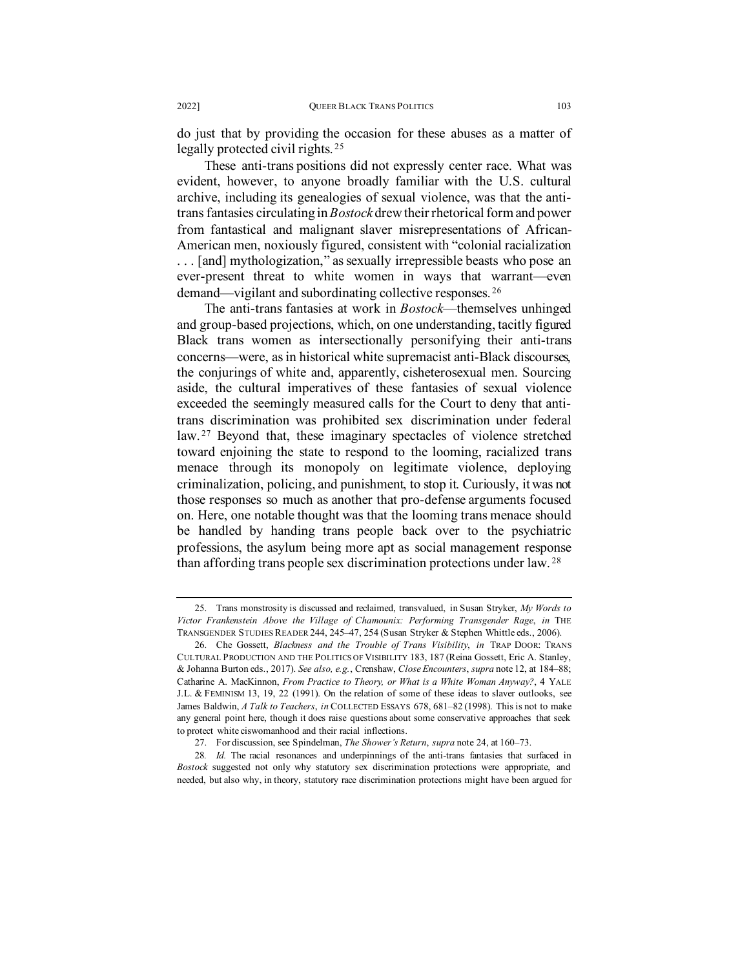do just that by providing the occasion for these abuses as a matter of legally protected civil rights. [25](#page-10-0)

These anti-trans positions did not expressly center race. What was evident, however, to anyone broadly familiar with the U.S. cultural archive, including its genealogies of sexual violence, was that the antitrans fantasies circulating in *Bostock* drew their rhetorical form and power from fantastical and malignant slaver misrepresentations of African-American men, noxiously figured, consistent with "colonial racialization . . . [and] mythologization," as sexually irrepressible beasts who pose an ever-present threat to white women in ways that warrant—even demand—vigilant and subordinating collective responses. [26](#page-10-1)

The anti-trans fantasies at work in *Bostock*—themselves unhinged and group-based projections, which, on one understanding, tacitly figured Black trans women as intersectionally personifying their anti-trans concerns—were, as in historical white supremacist anti-Black discourses, the conjurings of white and, apparently, cisheterosexual men. Sourcing aside, the cultural imperatives of these fantasies of sexual violence exceeded the seemingly measured calls for the Court to deny that antitrans discrimination was prohibited sex discrimination under federal law.<sup>[27](#page-10-2)</sup> Beyond that, these imaginary spectacles of violence stretched toward enjoining the state to respond to the looming, racialized trans menace through its monopoly on legitimate violence, deploying criminalization, policing, and punishment, to stop it. Curiously, it was not those responses so much as another that pro-defense arguments focused on. Here, one notable thought was that the looming trans menace should be handled by handing trans people back over to the psychiatric professions, the asylum being more apt as social management response than affording trans people sex discrimination protections under law. [28](#page-10-3)

<span id="page-10-0"></span><sup>25.</sup> Trans monstrosity is discussed and reclaimed, transvalued, in Susan Stryker, *My Words to Victor Frankenstein Above the Village of Chamounix: Performing Transgender Rage*, *in* THE TRANSGENDER STUDIES READER 244, 245–47, 254 (Susan Stryker & Stephen Whittle eds., 2006).

<span id="page-10-1"></span><sup>26.</sup> Che Gossett, *Blackness and the Trouble of Trans Visibility*, *in* TRAP DOOR: TRANS CULTURAL PRODUCTION AND THE POLITICS OF VISIBILITY 183, 187 (Reina Gossett, Eric A. Stanley, & Johanna Burton eds., 2017). *See also, e.g.*, Crenshaw, *Close Encounters*, *supra* not[e 12,](#page-5-0) at 184–88; Catharine A. MacKinnon, *From Practice to Theory, or What is a White Woman Anyway?*, 4 YALE J.L. & FEMINISM 13, 19, 22 (1991). On the relation of some of these ideas to slaver outlooks, see James Baldwin, *A Talk to Teachers*, *in* COLLECTED ESSAYS 678, 681–82 (1998). This is not to make any general point here, though it does raise questions about some conservative approaches that seek to protect white ciswomanhood and their racial inflections.

<sup>27.</sup> For discussion, see Spindelman, *The Shower's Return*, *supra* not[e 24,](#page-9-3) at 160–73.

<span id="page-10-3"></span><span id="page-10-2"></span><sup>28</sup>*. Id.* The racial resonances and underpinnings of the anti-trans fantasies that surfaced in *Bostock* suggested not only why statutory sex discrimination protections were appropriate, and needed, but also why, in theory, statutory race discrimination protections might have been argued for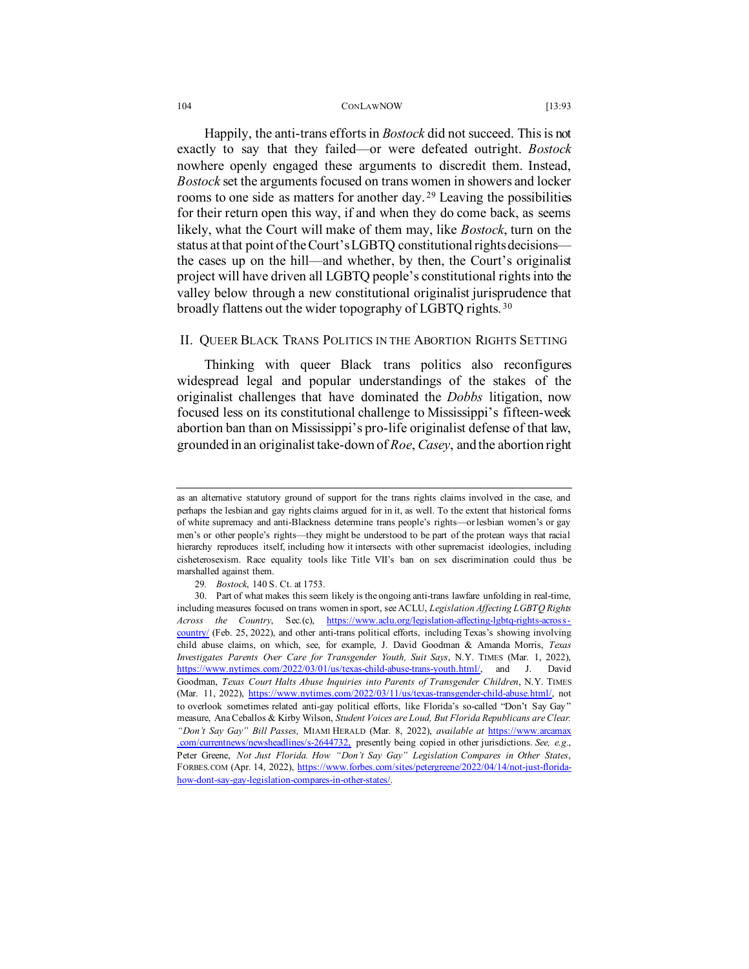Happily, the anti-trans efforts in *Bostock* did not succeed. This is not exactly to say that they failed—or were defeated outright. *Bostock* nowhere openly engaged these arguments to discredit them. Instead, *Bostock* set the arguments focused on trans women in showers and locker rooms to one side as matters for another day. [29](#page-11-0) Leaving the possibilities for their return open this way, if and when they do come back, as seems likely, what the Court will make of them may, like *Bostock*, turn on the status at that point of the Court's LGBTQ constitutional rights decisions the cases up on the hill—and whether, by then, the Court's originalist project will have driven all LGBTQ people's constitutional rights into the valley below through a new constitutional originalist jurisprudence that broadly flattens out the wider topography of LGBTQ rights.<sup>[30](#page-11-1)</sup>

# <span id="page-11-2"></span>II. QUEER BLACK TRANS POLITICS IN THE ABORTION RIGHTS SETTING

Thinking with queer Black trans politics also reconfigures widespread legal and popular understandings of the stakes of the originalist challenges that have dominated the *Dobbs* litigation, now focused less on its constitutional challenge to Mississippi's fifteen-week abortion ban than on Mississippi's pro-life originalist defense of that law, grounded in an originalist take-down of *Roe*, *Casey*, and the abortion right

as an alternative statutory ground of support for the trans rights claims involved in the case, and perhaps the lesbian and gay rights claims argued for in it, as well. To the extent that historical forms of white supremacy and anti-Blackness determine trans people's rights—or lesbian women's or gay men's or other people's rights—they might be understood to be part of the protean ways that racial hierarchy reproduces itself, including how it intersects with other supremacist ideologies, including cisheterosexism. Race equality tools like Title VII's ban on sex discrimination could thus be marshalled against them.

<sup>29</sup>*. Bostock*, 140 S. Ct. at 1753.

<span id="page-11-1"></span><span id="page-11-0"></span><sup>30.</sup> Part of what makes this seem likely is the ongoing anti-trans lawfare unfolding in real-time, including measures focused on trans women in sport, see ACLU, *Legislation Affecting LGBTQ Rights Across the Country*, Sec.(c), https://www.aclu.org/legislation-affecting-lgbtq-rights [country/](https://www.aclu.org/legislation-affecting-lgbtq-rights-across-country/) (Feb. 25, 2022), and other anti-trans political efforts, including Texas's showing involving child abuse claims, on which, see, for example, J. David Goodman & Amanda Morris, *Texas Investigates Parents Over Care for Transgender Youth, Suit Says*, N.Y. TIMES (Mar. 1, 2022), [https://www.nytimes.com/2022/03/01/us/texas-child-abuse-trans-youth.html/,](https://www.nytimes.com/2022/03/01/us/texas-child-abuse-trans-youth.html/) and J. David Goodman, *Texas Court Halts Abuse Inquiries into Parents of Transgender Children*, N.Y. TIMES (Mar. 11, 2022), [https://www.nytimes.com/2022/03/11/us/texas-transgender-child-abuse.html/,](https://www.nytimes.com/2022/03/11/us/texas-transgender-child-abuse.html/) not to overlook sometimes related anti-gay political efforts, like Florida's so-called "Don't Say Gay" measure, Ana Ceballos & Kirby Wilson, *Student Voices are Loud, But Florida Republicans are Clear. "Don't Say Gay" Bill Passes,* MIAMI HERALD (Mar. 8, 2022), *available at* [https://www.arcamax](https://www.arcamax.com/currentnews/newsheadlines/s-2644732) [.com/currentnews/newsheadlines/s-2644732,](https://www.arcamax.com/currentnews/newsheadlines/s-2644732) presently being copied in other jurisdictions. *See, e.g.*, Peter Greene, *Not Just Florida. How "Don't Say Gay" Legislation Compares in Other States*, FORBES.COM (Apr. 14, 2022)[, https://www.forbes.com/sites/petergreene/2022/04/14/not-just-florida](https://www.forbes.com/sites/petergreene/2022/04/14/not-just-florida-how-dont-say-gay-legislation-compares-in-other-states/)[how-dont-say-gay-legislation-compares-in-other-states/.](https://www.forbes.com/sites/petergreene/2022/04/14/not-just-florida-how-dont-say-gay-legislation-compares-in-other-states/)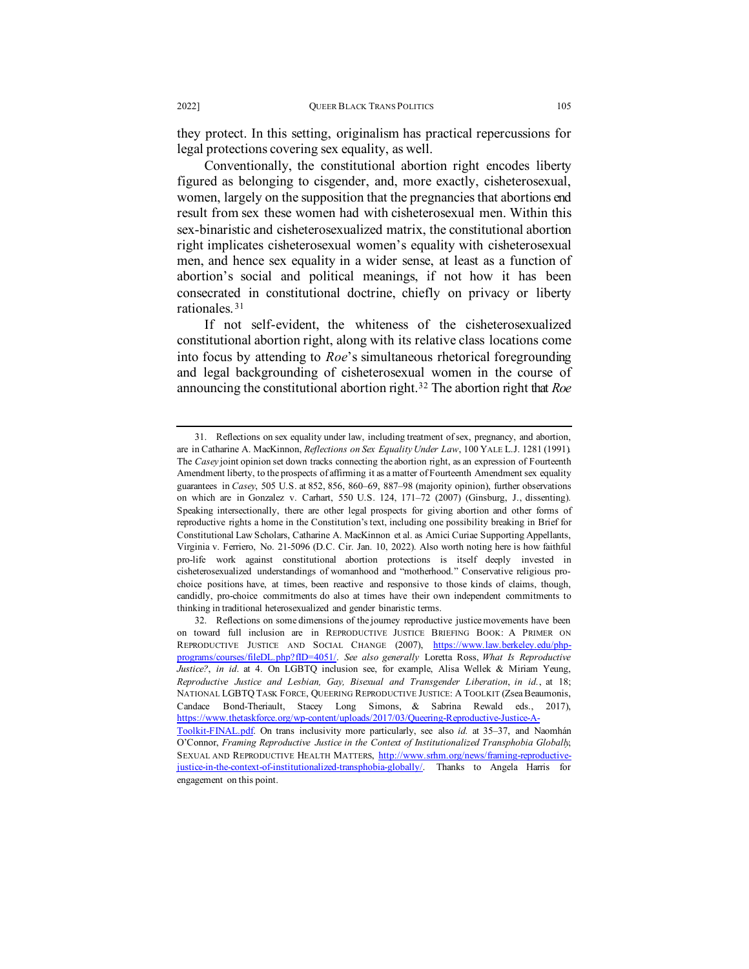they protect. In this setting, originalism has practical repercussions for legal protections covering sex equality, as well.

Conventionally, the constitutional abortion right encodes liberty figured as belonging to cisgender, and, more exactly, cisheterosexual, women, largely on the supposition that the pregnancies that abortions end result from sex these women had with cisheterosexual men. Within this sex-binaristic and cisheterosexualized matrix, the constitutional abortion right implicates cisheterosexual women's equality with cisheterosexual men, and hence sex equality in a wider sense, at least as a function of abortion's social and political meanings, if not how it has been consecrated in constitutional doctrine, chiefly on privacy or liberty rationales. [31](#page-12-0)

If not self-evident, the whiteness of the cisheterosexualized constitutional abortion right, along with its relative class locations come into focus by attending to *Roe*'s simultaneous rhetorical foregrounding and legal backgrounding of cisheterosexual women in the course of announcing the constitutional abortion right.[32](#page-12-1) The abortion right that *Roe*

<span id="page-12-0"></span><sup>31.</sup> Reflections on sex equality under law, including treatment of sex, pregnancy, and abortion, are in Catharine A. MacKinnon, *Reflections on Sex Equality Under Law*, 100 YALE L.J. 1281 (1991). The *Casey* joint opinion set down tracks connecting the abortion right, as an expression of Fourteenth Amendment liberty, to the prospects of affirming it as a matter of Fourteenth Amendment sex equality guarantees in *Casey*, 505 U.S. at 852, 856, 860–69, 887–98 (majority opinion), further observations on which are in Gonzalez v. Carhart, 550 U.S. 124, 171–72 (2007) (Ginsburg, J., dissenting). Speaking intersectionally, there are other legal prospects for giving abortion and other forms of reproductive rights a home in the Constitution's text, including one possibility breaking in Brief for Constitutional Law Scholars, Catharine A. MacKinnon et al. as Amici Curiae Supporting Appellants, Virginia v. Ferriero, No. 21-5096 (D.C. Cir. Jan. 10, 2022). Also worth noting here is how faithful pro-life work against constitutional abortion protections is itself deeply invested in cisheterosexualized understandings of womanhood and "motherhood." Conservative religious prochoice positions have, at times, been reactive and responsive to those kinds of claims, though, candidly, pro-choice commitments do also at times have their own independent commitments to thinking in traditional heterosexualized and gender binaristic terms.

<span id="page-12-1"></span><sup>32.</sup> Reflections on some dimensions of the journey reproductive justice movements have been on toward full inclusion are in REPRODUCTIVE JUSTICE BRIEFING BOOK: A PRIMER ON REPRODUCTIVE JUSTICE AND SOCIAL CHANGE (2007), [https://www.law.berkeley.edu/php](https://www.law.berkeley.edu/php-programs/courses/fileDL.php?fID=4051/)[programs/courses/fileDL.php?fID=4051/.](https://www.law.berkeley.edu/php-programs/courses/fileDL.php?fID=4051/) *See also generally* Loretta Ross, *What Is Reproductive Justice?*, *in id*. at 4. On LGBTQ inclusion see, for example, Alisa Wellek & Miriam Yeung, *Reproductive Justice and Lesbian, Gay, Bisexual and Transgender Liberation*, *in id.*, at 18; NATIONAL LGBTQ TASK FORCE, QUEERING REPRODUCTIVE JUSTICE: A TOOLKIT (Zsea Beaumonis, Candace Bond-Theriault, Stacey Long Simons, & Sabrina Rewald eds., 2017), [https://www.thetaskforce.org/wp-content/uploads/2017/03/Queering-Reproductive-Justice-A-](https://www.thetaskforce.org/wp-content/uploads/2017/03/Queering-Reproductive-Justice-A-Toolkit-FINAL.pdf)

[Toolkit-FINAL.pdf.](https://www.thetaskforce.org/wp-content/uploads/2017/03/Queering-Reproductive-Justice-A-Toolkit-FINAL.pdf) On trans inclusivity more particularly, see also *id.* at 35–37, and Naomhán O'Connor, *Framing Reproductive Justice in the Context of Institutionalized Transphobia Globally*, SEXUAL AND REPRODUCTIVE HEALTH MATTERS, [http://www.srhm.org/news/framing-reproductive](http://www.srhm.org/news/framing-reproductive-justice-in-the-context-of-institutionalized-transphobia-globally/)[justice-in-the-context-of-institutionalized-transphobia-globally/.](http://www.srhm.org/news/framing-reproductive-justice-in-the-context-of-institutionalized-transphobia-globally/) Thanks to Angela Harris for engagement on this point.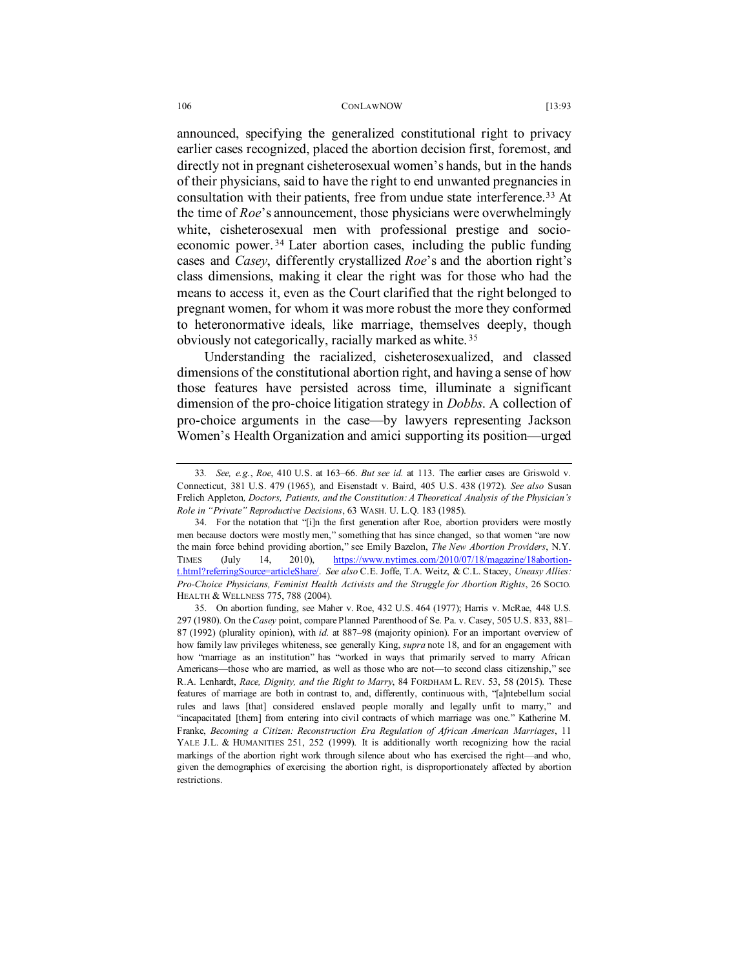announced, specifying the generalized constitutional right to privacy earlier cases recognized, placed the abortion decision first, foremost, and directly not in pregnant cisheterosexual women's hands, but in the hands of their physicians, said to have the right to end unwanted pregnancies in consultation with their patients, free from undue state interference.<sup>33</sup> At the time of *Roe*'s announcement, those physicians were overwhelmingly white, cisheterosexual men with professional prestige and socioeconomic power. [34](#page-13-1) Later abortion cases, including the public funding cases and *Casey*, differently crystallized *Roe*'s and the abortion right's class dimensions, making it clear the right was for those who had the means to access it, even as the Court clarified that the right belonged to pregnant women, for whom it was more robust the more they conformed to heteronormative ideals, like marriage, themselves deeply, though obviously not categorically, racially marked as white. [35](#page-13-2)

Understanding the racialized, cisheterosexualized, and classed dimensions of the constitutional abortion right, and having a sense of how those features have persisted across time, illuminate a significant dimension of the pro-choice litigation strategy in *Dobbs*. A collection of pro-choice arguments in the case—by lawyers representing Jackson Women's Health Organization and amici supporting its position—urged

<span id="page-13-0"></span><sup>33</sup>*. See, e.g.*, *Roe*, 410 U.S. at 163–66. *But see id.* at 113. The earlier cases are Griswold v. Connecticut, 381 U.S. 479 (1965), and Eisenstadt v. Baird, 405 U.S. 438 (1972). *See also* Susan Frelich Appleton*, Doctors, Patients, and the Constitution: A Theoretical Analysis of the Physician's Role in "Private" Reproductive Decisions*, 63 WASH. U. L.Q. 183 (1985).

<span id="page-13-1"></span><sup>34.</sup> For the notation that "[i]n the first generation after Roe, abortion providers were mostly men because doctors were mostly men," something that has since changed, so that women "are now the main force behind providing abortion," see Emily Bazelon, *The New Abortion Providers*, N.Y. TIMES (July 14, 2010), [https://www.nytimes.com/2010/07/18/magazine/18abortion](https://www.nytimes.com/2010/07/18/magazine/18abortion-t.html?referringSource=articleShare/)[t.html?referringSource=articleShare/.](https://www.nytimes.com/2010/07/18/magazine/18abortion-t.html?referringSource=articleShare/) *See also* C.E. Joffe, T.A. Weitz, & C.L. Stacey, *Uneasy Allies: Pro-Choice Physicians, Feminist Health Activists and the Struggle for Abortion Rights*, 26 SOCIO. HEALTH & WELLNESS 775, 788 (2004).

<span id="page-13-2"></span><sup>35.</sup> On abortion funding, see Maher v. Roe, 432 U.S. 464 (1977); Harris v. McRae, 448 U.S. 297 (1980). On the *Casey* point, compare Planned Parenthood of Se. Pa. v. Casey, 505 U.S. 833, 881– 87 (1992) (plurality opinion), with *id.* at 887–98 (majority opinion). For an important overview of how family law privileges whiteness, see generally King, *supra* note [18,](#page-7-4) and for an engagement with how "marriage as an institution" has "worked in ways that primarily served to marry African Americans—those who are married, as well as those who are not—to second class citizenship," see R.A. Lenhardt, *Race, Dignity, and the Right to Marry*, 84 FORDHAM L. REV. 53, 58 (2015). These features of marriage are both in contrast to, and, differently, continuous with, "[a]ntebellum social rules and laws [that] considered enslaved people morally and legally unfit to marry," and "incapacitated [them] from entering into civil contracts of which marriage was one." Katherine M. Franke, *Becoming a Citizen: Reconstruction Era Regulation of African American Marriages*, 11 YALE J.L. & HUMANITIES 251, 252 (1999). It is additionally worth recognizing how the racial markings of the abortion right work through silence about who has exercised the right—and who, given the demographics of exercising the abortion right, is disproportionately affected by abortion restrictions.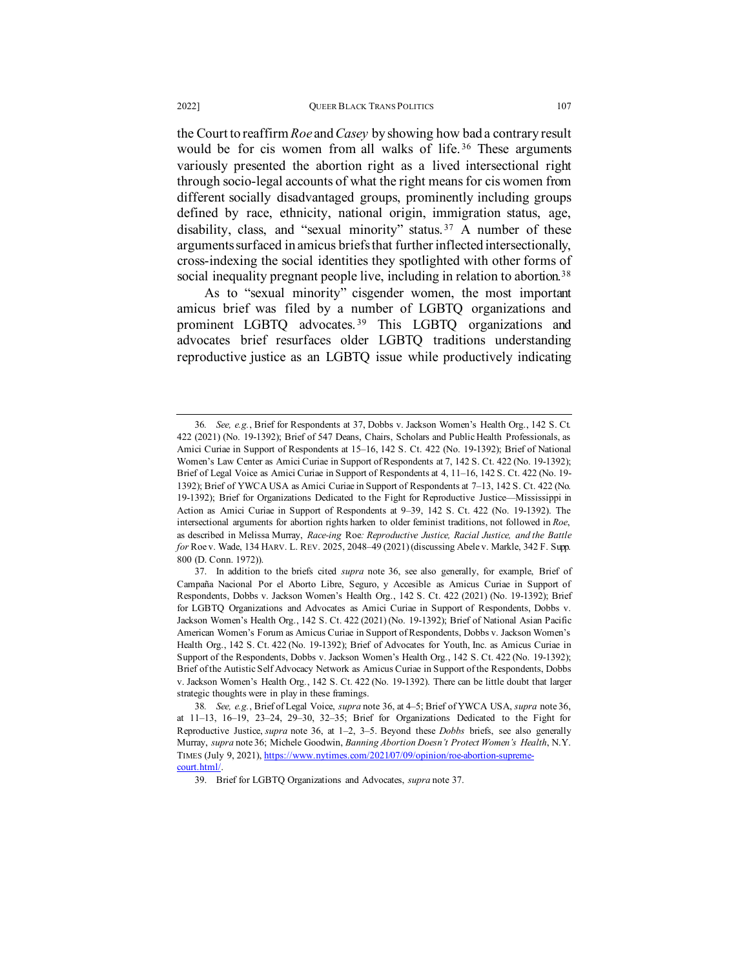<span id="page-14-0"></span>the Court to reaffirm *Roe* and *Casey* by showing how bad a contrary result would be for cis women from all walks of life.<sup>[36](#page-14-2)</sup> These arguments variously presented the abortion right as a lived intersectional right through socio-legal accounts of what the right means for cis women from different socially disadvantaged groups, prominently including groups defined by race, ethnicity, national origin, immigration status, age, disability, class, and "sexual minority" status.<sup>[37](#page-14-3)</sup> A number of these arguments surfaced in amicus briefs that further inflected intersectionally, cross-indexing the social identities they spotlighted with other forms of social inequality pregnant people live, including in relation to abortion.<sup>[38](#page-14-4)</sup>

<span id="page-14-1"></span>As to "sexual minority" cisgender women, the most important amicus brief was filed by a number of LGBTQ organizations and prominent LGBTQ advocates.<sup>[39](#page-14-5)</sup> This LGBTQ organizations and advocates brief resurfaces older LGBTQ traditions understanding reproductive justice as an LGBTQ issue while productively indicating

<span id="page-14-2"></span><sup>36</sup>*. See, e.g.*, Brief for Respondents at 37, Dobbs v. Jackson Women's Health Org., 142 S. Ct. 422 (2021) (No. 19-1392); Brief of 547 Deans, Chairs, Scholars and Public Health Professionals, as Amici Curiae in Support of Respondents at 15–16, 142 S. Ct. 422 (No. 19-1392); Brief of National Women's Law Center as Amici Curiae in Support of Respondents at 7, 142 S. Ct. 422 (No. 19-1392); Brief of Legal Voice as Amici Curiae in Support of Respondents at 4, 11–16, 142 S. Ct. 422 (No. 19- 1392); Brief of YWCA USA as Amici Curiae in Support of Respondents at 7–13, 142 S. Ct. 422 (No. 19-1392); Brief for Organizations Dedicated to the Fight for Reproductive Justice—Mississippi in Action as Amici Curiae in Support of Respondents at 9–39, 142 S. Ct. 422 (No. 19-1392). The intersectional arguments for abortion rights harken to older feminist traditions, not followed in *Roe*, as described in Melissa Murray, *Race-ing* Roe*: Reproductive Justice, Racial Justice, and the Battle for* Roe v. Wade, 134 HARV. L. REV. 2025, 2048–49 (2021) (discussing Abele v. Markle, 342 F. Supp. 800 (D. Conn. 1972)).

<span id="page-14-3"></span><sup>37.</sup> In addition to the briefs cited *supra* note [36,](#page-14-0) see also generally, for example, Brief of Campaña Nacional Por el Aborto Libre, Seguro, y Accesible as Amicus Curiae in Support of Respondents, Dobbs v. Jackson Women's Health Org., 142 S. Ct. 422 (2021) (No. 19-1392); Brief for LGBTQ Organizations and Advocates as Amici Curiae in Support of Respondents, Dobbs v. Jackson Women's Health Org., 142 S. Ct. 422 (2021) (No. 19-1392); Brief of National Asian Pacific American Women's Forum as Amicus Curiae in Support of Respondents, Dobbs v. Jackson Women's Health Org., 142 S. Ct. 422 (No. 19-1392); Brief of Advocates for Youth, Inc. as Amicus Curiae in Support of the Respondents, Dobbs v. Jackson Women's Health Org., 142 S. Ct. 422 (No. 19-1392); Brief of the Autistic Self Advocacy Network as Amicus Curiae in Support of the Respondents, Dobbs v. Jackson Women's Health Org., 142 S. Ct. 422 (No. 19-1392). There can be little doubt that larger strategic thoughts were in play in these framings.

<span id="page-14-5"></span><span id="page-14-4"></span><sup>38</sup>*. See, e.g.*, Brief of Legal Voice, *supra* note 36, at 4–5; Brief of YWCA USA, *supra* not[e 36,](#page-14-0) at 11–13, 16–19, 23–24, 29–30, 32–35; Brief for Organizations Dedicated to the Fight for Reproductive Justice, *supra* note 36, at 1–2, 3–5. Beyond these *Dobbs* briefs, see also generally Murray, *supra* not[e 36;](#page-14-0) Michele Goodwin, *Banning Abortion Doesn't Protect Women's Health*, N.Y. TIMES (July 9, 2021), [https://www.nytimes.com/2021/07/09/opinion/roe-abortion-supreme](https://www.nytimes.com/2021/07/09/opinion/roe-abortion-supreme-court.html/)[court.html/.](https://www.nytimes.com/2021/07/09/opinion/roe-abortion-supreme-court.html/)

<sup>39.</sup> Brief for LGBTQ Organizations and Advocates, *supra* not[e 37.](#page-14-1)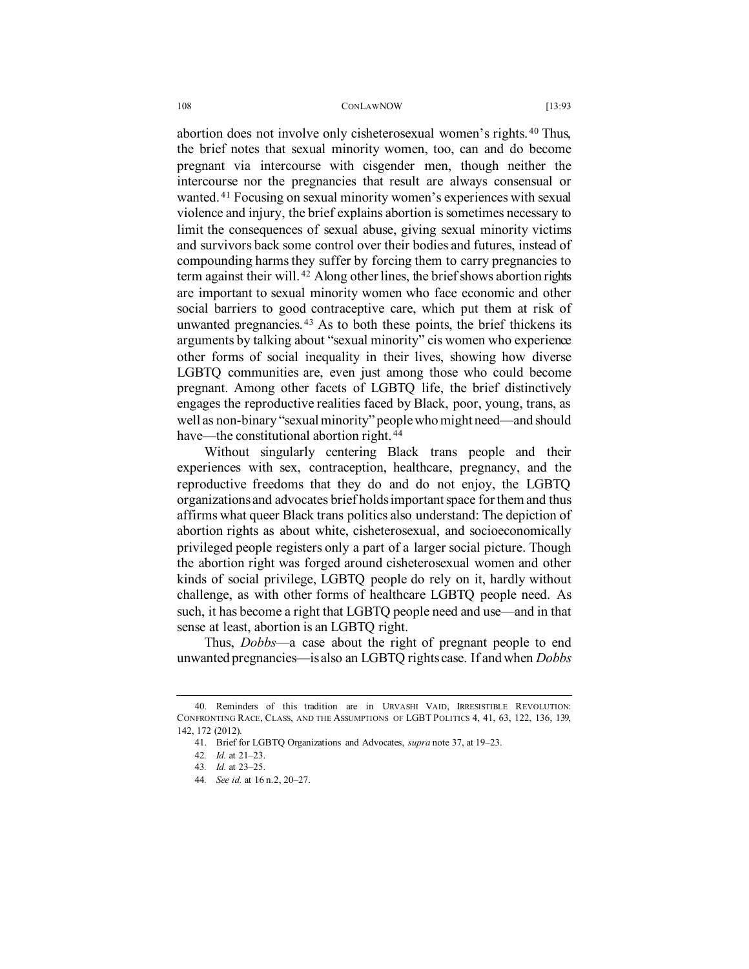abortion does not involve only cisheterosexual women's rights. [40](#page-15-0) Thus, the brief notes that sexual minority women, too, can and do become pregnant via intercourse with cisgender men, though neither the intercourse nor the pregnancies that result are always consensual or wanted. [41](#page-15-1) Focusing on sexual minority women's experiences with sexual violence and injury, the brief explains abortion is sometimes necessary to limit the consequences of sexual abuse, giving sexual minority victims and survivors back some control over their bodies and futures, instead of compounding harms they suffer by forcing them to carry pregnancies to term against their will. [42](#page-15-2) Along other lines, the brief shows abortion rights are important to sexual minority women who face economic and other social barriers to good contraceptive care, which put them at risk of unwanted pregnancies. [43](#page-15-3) As to both these points, the brief thickens its arguments by talking about "sexual minority" cis women who experience other forms of social inequality in their lives, showing how diverse LGBTQ communities are, even just among those who could become pregnant. Among other facets of LGBTQ life, the brief distinctively engages the reproductive realities faced by Black, poor, young, trans, as well as non-binary "sexual minority" peoplewho might need—and should have—the constitutional abortion right.<sup>[44](#page-15-4)</sup>

Without singularly centering Black trans people and their experiences with sex, contraception, healthcare, pregnancy, and the reproductive freedoms that they do and do not enjoy, the LGBTQ organizations and advocates brief holds important space for them and thus affirms what queer Black trans politics also understand: The depiction of abortion rights as about white, cisheterosexual, and socioeconomically privileged people registers only a part of a larger social picture. Though the abortion right was forged around cisheterosexual women and other kinds of social privilege, LGBTQ people do rely on it, hardly without challenge, as with other forms of healthcare LGBTQ people need. As such, it has become a right that LGBTQ people need and use—and in that sense at least, abortion is an LGBTQ right.

Thus, *Dobbs*—a case about the right of pregnant people to end unwanted pregnancies—is also an LGBTQ rights case. If and when *Dobbs*

<span id="page-15-4"></span><span id="page-15-3"></span><span id="page-15-2"></span><span id="page-15-1"></span><span id="page-15-0"></span><sup>40.</sup> Reminders of this tradition are in URVASHI VAID, IRRESISTIBLE REVOLUTION: CONFRONTING RACE, CLASS, AND THE ASSUMPTIONS OF LGBT POLITICS 4, 41, 63, 122, 136, 139, 142, 172 (2012).

<sup>41.</sup> Brief for LGBTQ Organizations and Advocates, *supra* not[e 37,](#page-14-1) at 19–23.

<sup>42</sup>*. Id.* at 21–23.

<sup>43</sup>*. Id.* at 23–25.

<sup>44</sup>*. See id.* at 16 n.2, 20–27.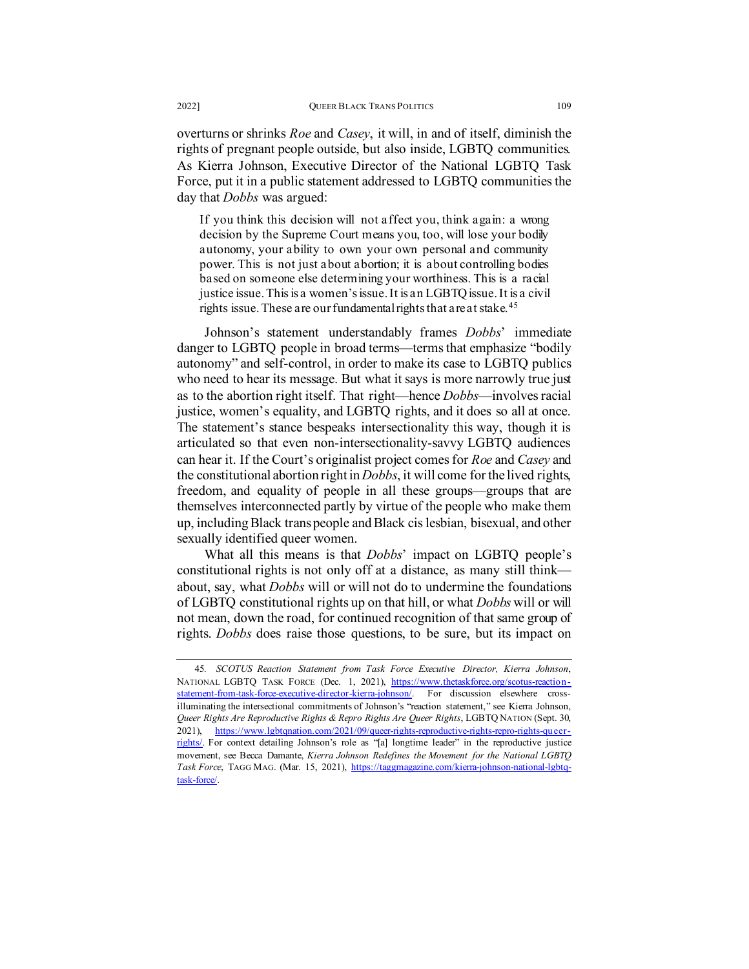overturns or shrinks *Roe* and *Casey*, it will, in and of itself, diminish the rights of pregnant people outside, but also inside, LGBTQ communities. As Kierra Johnson, Executive Director of the National LGBTQ Task Force, put it in a public statement addressed to LGBTQ communities the day that *Dobbs* was argued:

If you think this decision will not affect you, think again: a wrong decision by the Supreme Court means you, too, will lose your bodily autonomy, your ability to own your own personal and community power. This is not just about abortion; it is about controlling bodies based on someone else determining your worthiness. This is a racial justice issue. This is a women's issue. It is an LGBTQ issue. It is a civil rights issue. These are our fundamental rights that are at stake.<sup>[45](#page-16-0)</sup>

Johnson's statement understandably frames *Dobbs*' immediate danger to LGBTQ people in broad terms—terms that emphasize "bodily autonomy" and self-control, in order to make its case to LGBTQ publics who need to hear its message. But what it says is more narrowly true just as to the abortion right itself. That right—hence *Dobbs*—involves racial justice, women's equality, and LGBTO rights, and it does so all at once. The statement's stance bespeaks intersectionality this way, though it is articulated so that even non-intersectionality-savvy LGBTQ audiences can hear it. If the Court's originalist project comes for *Roe* and *Casey* and the constitutional abortion right in *Dobbs*, it will come for the lived rights, freedom, and equality of people in all these groups—groups that are themselves interconnected partly by virtue of the people who make them up, including Black trans people and Black cis lesbian, bisexual, and other sexually identified queer women.

What all this means is that *Dobbs*' impact on LGBTQ people's constitutional rights is not only off at a distance, as many still think about, say, what *Dobbs* will or will not do to undermine the foundations of LGBTQ constitutional rights up on that hill, or what *Dobbs* will or will not mean, down the road, for continued recognition of that same group of rights. *Dobbs* does raise those questions, to be sure, but its impact on

<span id="page-16-0"></span><sup>45</sup>*. SCOTUS Reaction Statement from Task Force Executive Director, Kierra Johnson*, NATIONAL LGBTQ TASK FORCE (Dec. 1, 2021), [https://www.thetaskforce.org/scotus-reaction](https://www.thetaskforce.org/scotus-reaction-statement-from-task-force-executive-director-kierra-johnson/)[statement-from-task-force-executive-director-kierra-johnson/.](https://www.thetaskforce.org/scotus-reaction-statement-from-task-force-executive-director-kierra-johnson/) For discussion elsewhere crossilluminating the intersectional commitments of Johnson's "reaction statement," see Kierra Johnson, *Queer Rights Are Reproductive Rights & Repro Rights Are Queer Rights*, LGBTQ NATION (Sept. 30, 2021), [https://www.lgbtqnation.com/2021/09/queer-rights-reproductive-rights-repro-rights-queer](https://www.lgbtqnation.com/2021/09/queer-rights-reproductive-rights-repro-rights-queer-rights/)[rights/.](https://www.lgbtqnation.com/2021/09/queer-rights-reproductive-rights-repro-rights-queer-rights/) For context detailing Johnson's role as "[a] longtime leader" in the reproductive justice movement, see Becca Damante, *Kierra Johnson Redefines the Movement for the National LGBTQ Task Force*, TAGG MAG. (Mar. 15, 2021)[, https://taggmagazine.com/kierra-johnson-national-lgbtq](https://taggmagazine.com/kierra-johnson-national-lgbtq-task-force/)[task-force/.](https://taggmagazine.com/kierra-johnson-national-lgbtq-task-force/)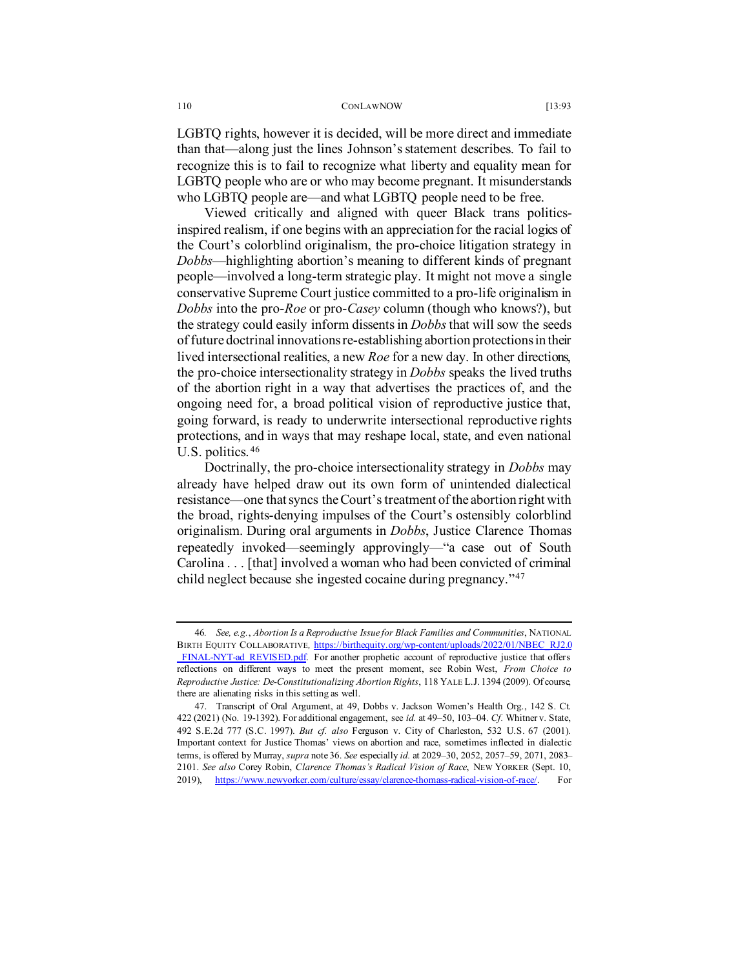LGBTQ rights, however it is decided, will be more direct and immediate than that—along just the lines Johnson's statement describes. To fail to recognize this is to fail to recognize what liberty and equality mean for LGBTQ people who are or who may become pregnant. It misunderstands who LGBTQ people are—and what LGBTQ people need to be free.

Viewed critically and aligned with queer Black trans politicsinspired realism, if one begins with an appreciation for the racial logics of the Court's colorblind originalism, the pro-choice litigation strategy in *Dobbs*—highlighting abortion's meaning to different kinds of pregnant people—involved a long-term strategic play. It might not move a single conservative Supreme Court justice committed to a pro-life originalism in *Dobbs* into the pro-*Roe* or pro-*Casey* column (though who knows?), but the strategy could easily inform dissents in *Dobbs*that will sow the seeds of future doctrinal innovations re-establishing abortion protections in their lived intersectional realities, a new *Roe* for a new day. In other directions, the pro-choice intersectionality strategy in *Dobbs* speaks the lived truths of the abortion right in a way that advertises the practices of, and the ongoing need for, a broad political vision of reproductive justice that, going forward, is ready to underwrite intersectional reproductive rights protections, and in ways that may reshape local, state, and even national U.S. politics. [46](#page-17-0)

Doctrinally, the pro-choice intersectionality strategy in *Dobbs* may already have helped draw out its own form of unintended dialectical resistance—one that syncs the Court's treatment of the abortion right with the broad, rights-denying impulses of the Court's ostensibly colorblind originalism. During oral arguments in *Dobbs*, Justice Clarence Thomas repeatedly invoked—seemingly approvingly—"a case out of South Carolina . . . [that] involved a woman who had been convicted of criminal child neglect because she ingested cocaine during pregnancy."[47](#page-17-1)

<span id="page-17-0"></span><sup>46</sup>*. See, e.g.*, *Abortion Is a Reproductive Issue for Black Families and Communities*, NATIONAL BIRTH EQUITY COLLABORATIVE, [https://birthequity.org/wp-content/uploads/2022/01/NBEC\\_RJ2.0](https://birthequity.org/wp-content/uploads/2022/01/NBEC_RJ2.0_FINAL-NYT-ad_REVISED.pdf) FINAL-NYT-ad\_REVISED.pdf. For another prophetic account of reproductive justice that offers reflections on different ways to meet the present moment, see Robin West, *From Choice to Reproductive Justice: De-Constitutionalizing Abortion Rights*, 118 YALE L.J. 1394 (2009). Of course, there are alienating risks in this setting as well.

<span id="page-17-1"></span><sup>47.</sup> Transcript of Oral Argument, at 49, Dobbs v. Jackson Women's Health Org., 142 S. Ct. 422 (2021) (No. 19-1392). For additional engagement, see *id.* at 49–50, 103–04. *Cf.* Whitner v. State, 492 S.E.2d 777 (S.C. 1997). *But cf. also* Ferguson v. City of Charleston, 532 U.S. 67 (2001). Important context for Justice Thomas' views on abortion and race, sometimes inflected in dialectic terms, is offered by Murray, *supra* not[e 36.](#page-14-0) *See* especially *id.* at 2029–30, 2052, 2057–59, 2071, 2083– 2101. *See also* Corey Robin, *Clarence Thomas's Radical Vision of Race*, NEW YORKER (Sept. 10, 2019), [https://www.newyorker.com/culture/essay/clarence-thomass-radical-vision-of-race/.](https://www.newyorker.com/culture/essay/clarence-thomass-radical-vision-of-race/) For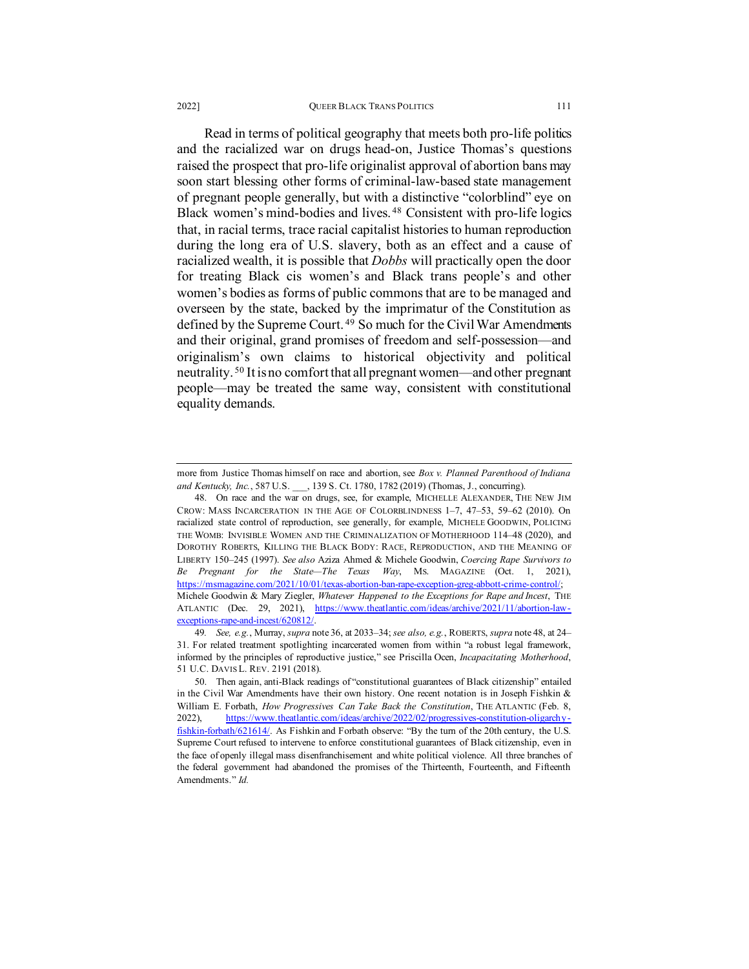### 2022] QUEER BLACK TRANS POLITICS 111

<span id="page-18-0"></span>Read in terms of political geography that meets both pro-life politics and the racialized war on drugs head-on, Justice Thomas's questions raised the prospect that pro-life originalist approval of abortion bans may soon start blessing other forms of criminal-law-based state management of pregnant people generally, but with a distinctive "colorblind" eye on Black women's mind-bodies and lives. [48](#page-18-1) Consistent with pro-life logics that, in racial terms, trace racial capitalist histories to human reproduction during the long era of U.S. slavery, both as an effect and a cause of racialized wealth, it is possible that *Dobbs* will practically open the door for treating Black cis women's and Black trans people's and other women's bodies as forms of public commons that are to be managed and overseen by the state, backed by the imprimatur of the Constitution as defined by the Supreme Court.<sup>[49](#page-18-2)</sup> So much for the Civil War Amendments and their original, grand promises of freedom and self-possession—and originalism's own claims to historical objectivity and political neutrality. [50](#page-18-3) It is no comfort that all pregnant women—and other pregnant people—may be treated the same way, consistent with constitutional equality demands.

more from Justice Thomas himself on race and abortion, see *Box v. Planned Parenthood of Indiana and Kentucky, Inc.*, 587 U.S. \_\_\_, 139 S. Ct. 1780, 1782 (2019) (Thomas, J., concurring).

<span id="page-18-1"></span><sup>48.</sup> On race and the war on drugs, see, for example, MICHELLE ALEXANDER, THE NEW JIM CROW: MASS INCARCERATION IN THE AGE OF COLORBLINDNESS 1–7, 47–53, 59–62 (2010). On racialized state control of reproduction, see generally, for example, MICHELE GOODWIN, POLICING THE WOMB: INVISIBLE WOMEN AND THE CRIMINALIZATION OF MOTHERHOOD 114–48 (2020), and DOROTHY ROBERTS, KILLING THE BLACK BODY: RACE, REPRODUCTION, AND THE MEANING OF LIBERTY 150–245 (1997). *See also* Aziza Ahmed & Michele Goodwin, *Coercing Rape Survivors to Be Pregnant for the State—The Texas Way*, MS. MAGAZINE (Oct. 1, 2021), https://msmagazine.com/2021/10/01/texas-abortion-ban-rape-exception-greg-abbott-crime-control/; Michele Goodwin & Mary Ziegler, *Whatever Happened to the Exceptions for Rape and Incest*, THE ATLANTIC (Dec. 29, 2021), [https://www.theatlantic.com/ideas/archive/2021/11/abortion-law](https://www.theatlantic.com/ideas/archive/2021/11/abortion-law-exceptions-rape-and-incest/620812/)exceptions-rape-and-incest/620812

<span id="page-18-2"></span><sup>49</sup>*. See, e.g.*, Murray, *supra* not[e 36,](#page-14-0) at 2033–34; *see also, e.g.*, ROBERTS, *supra* not[e 48,](#page-18-0) at 24– 31. For related treatment spotlighting incarcerated women from within "a robust legal framework, informed by the principles of reproductive justice," see Priscilla Ocen, *Incapacitating Motherhood*, 51 U.C. DAVIS L. REV. 2191 (2018).

<span id="page-18-3"></span><sup>50.</sup> Then again, anti-Black readings of "constitutional guarantees of Black citizenship" entailed in the Civil War Amendments have their own history. One recent notation is in Joseph Fishkin & William E. Forbath, *How Progressives Can Take Back the Constitution*, THE ATLANTIC (Feb. 8, 2022), [https://www.theatlantic.com/ideas/archive/2022/02/progressives-constitution-oligarchy](https://www.theatlantic.com/ideas/archive/2022/02/progressives-constitution-oligarchy-fishkin-forbath/621614/)[fishkin-forbath/621614/.](https://www.theatlantic.com/ideas/archive/2022/02/progressives-constitution-oligarchy-fishkin-forbath/621614/) As Fishkin and Forbath observe: "By the turn of the 20th century, the U.S. Supreme Court refused to intervene to enforce constitutional guarantees of Black citizenship, even in the face of openly illegal mass disenfranchisement and white political violence. All three branches of the federal government had abandoned the promises of the Thirteenth, Fourteenth, and Fifteenth Amendments." *Id.*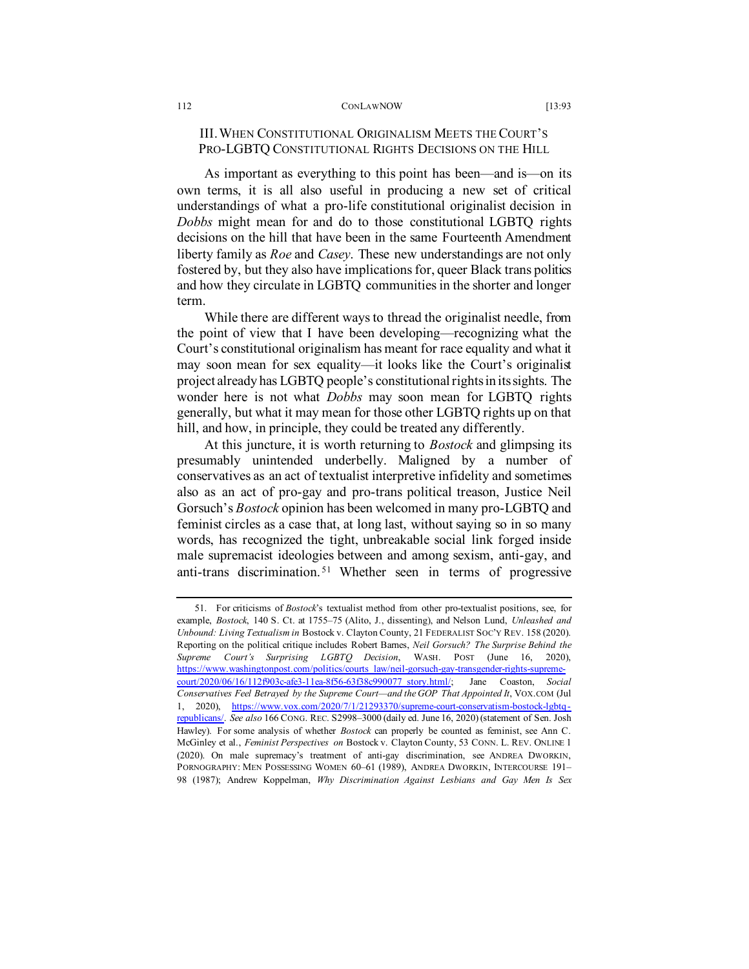# III. WHEN CONSTITUTIONAL ORIGINALISM MEETS THE COURT'S PRO-LGBTQ CONSTITUTIONAL RIGHTS DECISIONS ON THE HILL

As important as everything to this point has been—and is—on its own terms, it is all also useful in producing a new set of critical understandings of what a pro-life constitutional originalist decision in *Dobbs* might mean for and do to those constitutional LGBTQ rights decisions on the hill that have been in the same Fourteenth Amendment liberty family as *Roe* and *Casey*. These new understandings are not only fostered by, but they also have implications for, queer Black trans politics and how they circulate in LGBTQ communities in the shorter and longer term.

While there are different ways to thread the originalist needle, from the point of view that I have been developing—recognizing what the Court's constitutional originalism has meant for race equality and what it may soon mean for sex equality—it looks like the Court's originalist project already has LGBTQ people's constitutional rights in its sights. The wonder here is not what *Dobbs* may soon mean for LGBTQ rights generally, but what it may mean for those other LGBTQ rights up on that hill, and how, in principle, they could be treated any differently.

At this juncture, it is worth returning to *Bostock* and glimpsing its presumably unintended underbelly. Maligned by a number of conservatives as an act of textualist interpretive infidelity and sometimes also as an act of pro-gay and pro-trans political treason, Justice Neil Gorsuch's *Bostock* opinion has been welcomed in many pro-LGBTQ and feminist circles as a case that, at long last, without saying so in so many words, has recognized the tight, unbreakable social link forged inside male supremacist ideologies between and among sexism, anti-gay, and anti-trans discrimination. [51](#page-19-0) Whether seen in terms of progressive

<span id="page-19-0"></span><sup>51.</sup> For criticisms of *Bostock*'s textualist method from other pro-textualist positions, see, for example, *Bostock*, 140 S. Ct. at 1755–75 (Alito, J., dissenting), and Nelson Lund, *Unleashed and Unbound: Living Textualism in* Bostock v. Clayton County, 21 FEDERALIST SOC'Y REV. 158 (2020). Reporting on the political critique includes Robert Barnes, *Neil Gorsuch? The Surprise Behind the Supreme Court's Surprising LGBTQ Decision*, WASH. POST (June 16, 2020), [https://www.washingtonpost.com/politics/courts\\_law/neil-gorsuch-gay-transgender-rights-supreme](https://www.washingtonpost.com/politics/courts_law/neil-gorsuch-gay-transgender-rights-supreme-court/2020/06/16/112f903c-afe3-11ea-8f56-63f38c990077_story.html/)[court/2020/06/16/112f903c-afe3-11ea-8f56-63f38c990077\\_story.html/;](https://www.washingtonpost.com/politics/courts_law/neil-gorsuch-gay-transgender-rights-supreme-court/2020/06/16/112f903c-afe3-11ea-8f56-63f38c990077_story.html/) Jane Coaston, *Social Conservatives Feel Betrayed by the Supreme Court—and the GOP That Appointed It*, VOX.COM (Jul 1, 2020), [https://www.vox.com/2020/7/1/21293370/supreme-court-conservatism-bostock-lgbtq](https://www.vox.com/2020/7/1/21293370/supreme-court-conservatism-bostock-lgbtq-republicans/)[republicans/.](https://www.vox.com/2020/7/1/21293370/supreme-court-conservatism-bostock-lgbtq-republicans/) *See also* 166 CONG. REC. S2998–3000 (daily ed. June 16, 2020) (statement of Sen. Josh Hawley). For some analysis of whether *Bostock* can properly be counted as feminist, see Ann C. McGinley et al., *Feminist Perspectives on* Bostock v. Clayton County, 53 CONN. L. REV. ONLINE 1 (2020). On male supremacy's treatment of anti-gay discrimination, see ANDREA DWORKIN, PORNOGRAPHY: MEN POSSESSING WOMEN 60–61 (1989), ANDREA DWORKIN, INTERCOURSE 191– 98 (1987); Andrew Koppelman, *Why Discrimination Against Lesbians and Gay Men Is Sex*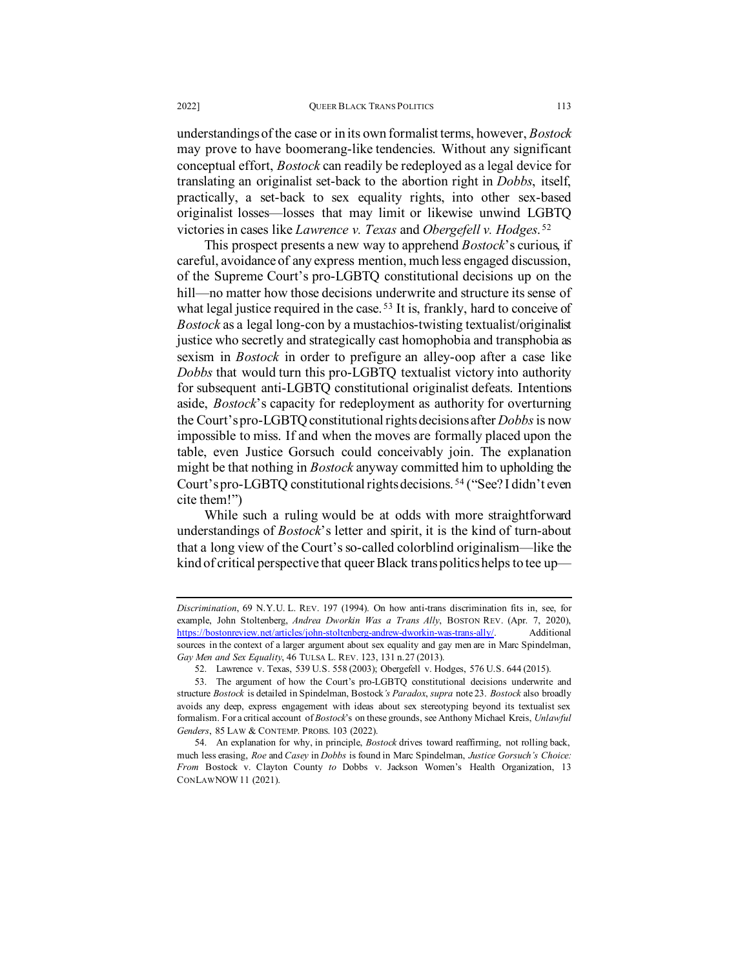understandings of the case or in its own formalist terms, however, *Bostock* may prove to have boomerang-like tendencies. Without any significant conceptual effort, *Bostock* can readily be redeployed as a legal device for translating an originalist set-back to the abortion right in *Dobbs*, itself, practically, a set-back to sex equality rights, into other sex-based originalist losses—losses that may limit or likewise unwind LGBTQ victories in cases like *Lawrence v. Texas* and *Obergefell v. Hodges*. [52](#page-20-0)

This prospect presents a new way to apprehend *Bostock*'s curious, if careful, avoidance of any express mention, much less engaged discussion, of the Supreme Court's pro-LGBTQ constitutional decisions up on the hill—no matter how those decisions underwrite and structure its sense of what legal justice required in the case.<sup>[53](#page-20-1)</sup> It is, frankly, hard to conceive of *Bostock* as a legal long-con by a mustachios-twisting textualist/originalist justice who secretly and strategically cast homophobia and transphobia as sexism in *Bostock* in order to prefigure an alley-oop after a case like *Dobbs* that would turn this pro-LGBTQ textualist victory into authority for subsequent anti-LGBTQ constitutional originalist defeats. Intentions aside, *Bostock*'s capacity for redeployment as authority for overturning the Court's pro-LGBTQ constitutional rights decisions after *Dobbs*is now impossible to miss. If and when the moves are formally placed upon the table, even Justice Gorsuch could conceivably join. The explanation might be that nothing in *Bostock* anyway committed him to upholding the Court's pro-LGBTQ constitutional rights decisions. [54](#page-20-2) ("See? I didn't even cite them!")

While such a ruling would be at odds with more straightforward understandings of *Bostock*'s letter and spirit, it is the kind of turn-about that a long view of the Court's so-called colorblind originalism—like the kind of critical perspective that queer Black trans politics helps to tee up—

*Discrimination*, 69 N.Y.U. L. REV. 197 (1994). On how anti-trans discrimination fits in, see, for example, John Stoltenberg, *Andrea Dworkin Was a Trans Ally*, BOSTON REV. (Apr. 7, 2020), [https://bostonreview.net/articles/john-stoltenberg-andrew-dworkin-was-trans-ally/.](https://bostonreview.net/articles/john-stoltenberg-andrew-dworkin-was-trans-ally/) Additional sources in the context of a larger argument about sex equality and gay men are in Marc Spindelman, *Gay Men and Sex Equality*, 46 TULSA L. REV. 123, 131 n.27 (2013).

<sup>52.</sup> Lawrence v. Texas, 539 U.S. 558 (2003); Obergefell v. Hodges, 576 U.S. 644 (2015).

<span id="page-20-1"></span><span id="page-20-0"></span><sup>53.</sup> The argument of how the Court's pro-LGBTQ constitutional decisions underwrite and structure *Bostock* is detailed in Spindelman, Bostock*'s Paradox*, *supra* not[e 23.](#page-9-4) *Bostock* also broadly avoids any deep, express engagement with ideas about sex stereotyping beyond its textualist sex formalism. For a critical account of *Bostock*'s on these grounds, see Anthony Michael Kreis, *Unlawful Genders*, 85 LAW & CONTEMP. PROBS. 103 (2022).

<span id="page-20-2"></span><sup>54.</sup> An explanation for why, in principle, *Bostock* drives toward reaffirming, not rolling back, much less erasing, *Roe* and *Casey* in *Dobbs* is found in Marc Spindelman, *Justice Gorsuch's Choice: From* Bostock v. Clayton County *to* Dobbs v. Jackson Women's Health Organization, 13 CONLAWNOW11 (2021).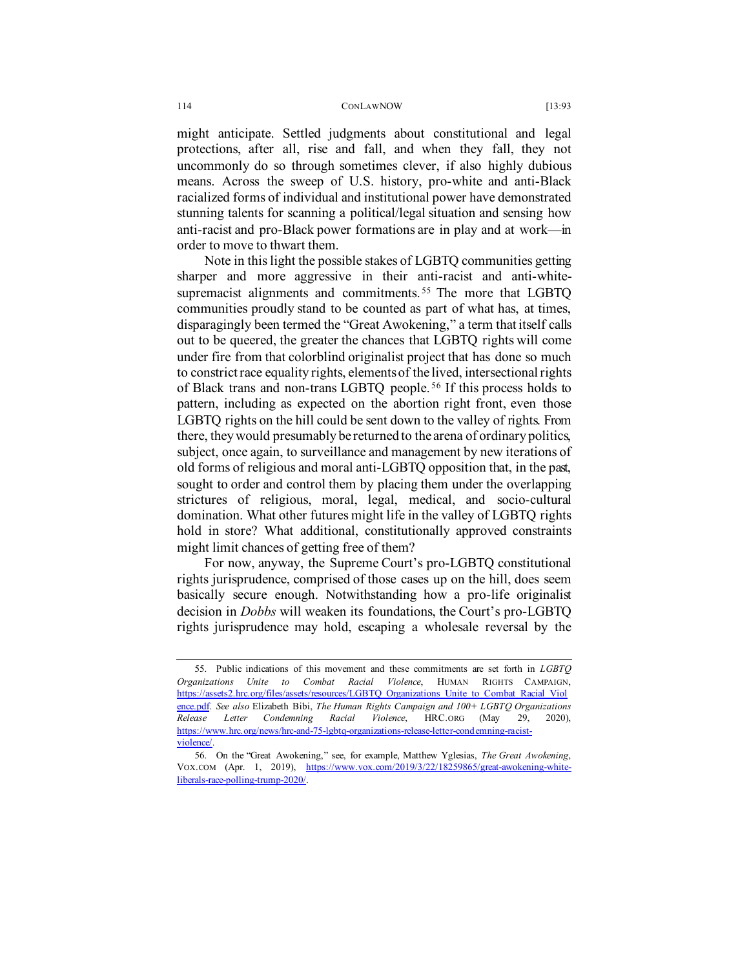might anticipate. Settled judgments about constitutional and legal protections, after all, rise and fall, and when they fall, they not uncommonly do so through sometimes clever, if also highly dubious means. Across the sweep of U.S. history, pro-white and anti-Black racialized forms of individual and institutional power have demonstrated stunning talents for scanning a political/legal situation and sensing how anti-racist and pro-Black power formations are in play and at work—in order to move to thwart them.

Note in this light the possible stakes of LGBTQ communities getting sharper and more aggressive in their anti-racist and anti-white-supremacist alignments and commitments.<sup>[55](#page-21-0)</sup> The more that LGBTO communities proudly stand to be counted as part of what has, at times, disparagingly been termed the "Great Awokening," a term that itself calls out to be queered, the greater the chances that LGBTQ rights will come under fire from that colorblind originalist project that has done so much to constrict race equality rights, elements of the lived, intersectional rights of Black trans and non-trans LGBTQ people. [56](#page-21-1) If this process holds to pattern, including as expected on the abortion right front, even those LGBTQ rights on the hill could be sent down to the valley of rights. From there, they would presumably be returned to the arena of ordinary politics, subject, once again, to surveillance and management by new iterations of old forms of religious and moral anti-LGBTQ opposition that, in the past, sought to order and control them by placing them under the overlapping strictures of religious, moral, legal, medical, and socio-cultural domination. What other futures might life in the valley of LGBTQ rights hold in store? What additional, constitutionally approved constraints might limit chances of getting free of them?

For now, anyway, the Supreme Court's pro-LGBTQ constitutional rights jurisprudence, comprised of those cases up on the hill, does seem basically secure enough. Notwithstanding how a pro-life originalist decision in *Dobbs* will weaken its foundations, the Court's pro-LGBTQ rights jurisprudence may hold, escaping a wholesale reversal by the

<span id="page-21-0"></span><sup>55.</sup> Public indications of this movement and these commitments are set forth in *LGBTQ Organizations Unite to Combat Racial Violence*, HUMAN RIGHTS CAMPAIGN, [https://assets2.hrc.org/files/assets/resources/LGBTQ\\_Organizations\\_Unite\\_to\\_Combat\\_Racial\\_Viol](https://assets2.hrc.org/files/assets/resources/LGBTQ_Organizations_Unite_to_Combat_Racial_Violence.pdf) [ence.pdf.](https://assets2.hrc.org/files/assets/resources/LGBTQ_Organizations_Unite_to_Combat_Racial_Violence.pdf) *See also* Elizabeth Bibi, *The Human Rights Campaign and 100+ LGBTQ Organizations Release Letter Condemning Racial Violence*, HRC.ORG (May 29, 2020), [https://www.hrc.org/news/hrc-and-75-lgbtq-organizations-release-letter-condemning-racist](https://www.hrc.org/news/hrc-and-75-lgbtq-organizations-release-letter-condemning-racist-violence/)violence/

<span id="page-21-1"></span><sup>56.</sup> On the "Great Awokening," see, for example, Matthew Yglesias, *The Great Awokening*, VOX.COM (Apr. 1, 2019), [https://www.vox.com/2019/3/22/18259865/great-awokening-white](https://www.vox.com/2019/3/22/18259865/great-awokening-white-liberals-race-polling-trump-2020/)[liberals-race-polling-trump-2020/.](https://www.vox.com/2019/3/22/18259865/great-awokening-white-liberals-race-polling-trump-2020/)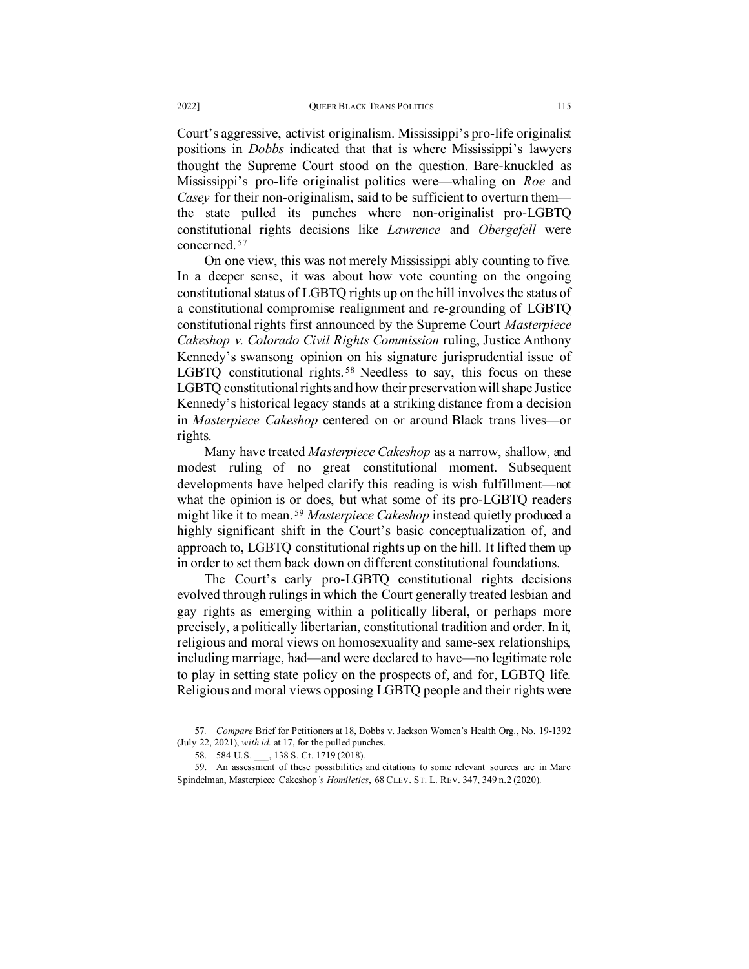Court's aggressive, activist originalism. Mississippi's pro-life originalist positions in *Dobbs* indicated that that is where Mississippi's lawyers thought the Supreme Court stood on the question. Bare-knuckled as Mississippi's pro-life originalist politics were—whaling on *Roe* and *Casey* for their non-originalism, said to be sufficient to overturn them the state pulled its punches where non-originalist pro-LGBTQ constitutional rights decisions like *Lawrence* and *Obergefell* were concerned. [57](#page-22-0)

On one view, this was not merely Mississippi ably counting to five. In a deeper sense, it was about how vote counting on the ongoing constitutional status of LGBTQ rights up on the hill involves the status of a constitutional compromise realignment and re-grounding of LGBTQ constitutional rights first announced by the Supreme Court *Masterpiece Cakeshop v. Colorado Civil Rights Commission* ruling, Justice Anthony Kennedy's swansong opinion on his signature jurisprudential issue of LGBTQ constitutional rights.<sup>[58](#page-22-1)</sup> Needless to say, this focus on these LGBTQ constitutional rights and how their preservation will shape Justice Kennedy's historical legacy stands at a striking distance from a decision in *Masterpiece Cakeshop* centered on or around Black trans lives—or rights.

<span id="page-22-3"></span>Many have treated *Masterpiece Cakeshop* as a narrow, shallow, and modest ruling of no great constitutional moment. Subsequent developments have helped clarify this reading is wish fulfillment—not what the opinion is or does, but what some of its pro-LGBTQ readers might like it to mean. [59](#page-22-2) *Masterpiece Cakeshop* instead quietly produced a highly significant shift in the Court's basic conceptualization of, and approach to, LGBTQ constitutional rights up on the hill. It lifted them up in order to set them back down on different constitutional foundations.

The Court's early pro-LGBTQ constitutional rights decisions evolved through rulings in which the Court generally treated lesbian and gay rights as emerging within a politically liberal, or perhaps more precisely, a politically libertarian, constitutional tradition and order. In it, religious and moral views on homosexuality and same-sex relationships, including marriage, had—and were declared to have—no legitimate role to play in setting state policy on the prospects of, and for, LGBTQ life. Religious and moral views opposing LGBTQ people and their rights were

<span id="page-22-0"></span><sup>57</sup>*. Compare* Brief for Petitioners at 18, Dobbs v. Jackson Women's Health Org., No. 19-1392 (July 22, 2021), *with id.* at 17, for the pulled punches.

<sup>58. 584</sup> U.S. , 138 S. Ct. 1719 (2018).

<span id="page-22-2"></span><span id="page-22-1"></span><sup>59.</sup> An assessment of these possibilities and citations to some relevant sources are in Marc Spindelman, Masterpiece Cakeshop*'s Homiletics*, 68 CLEV. ST. L. REV. 347, 349 n.2 (2020).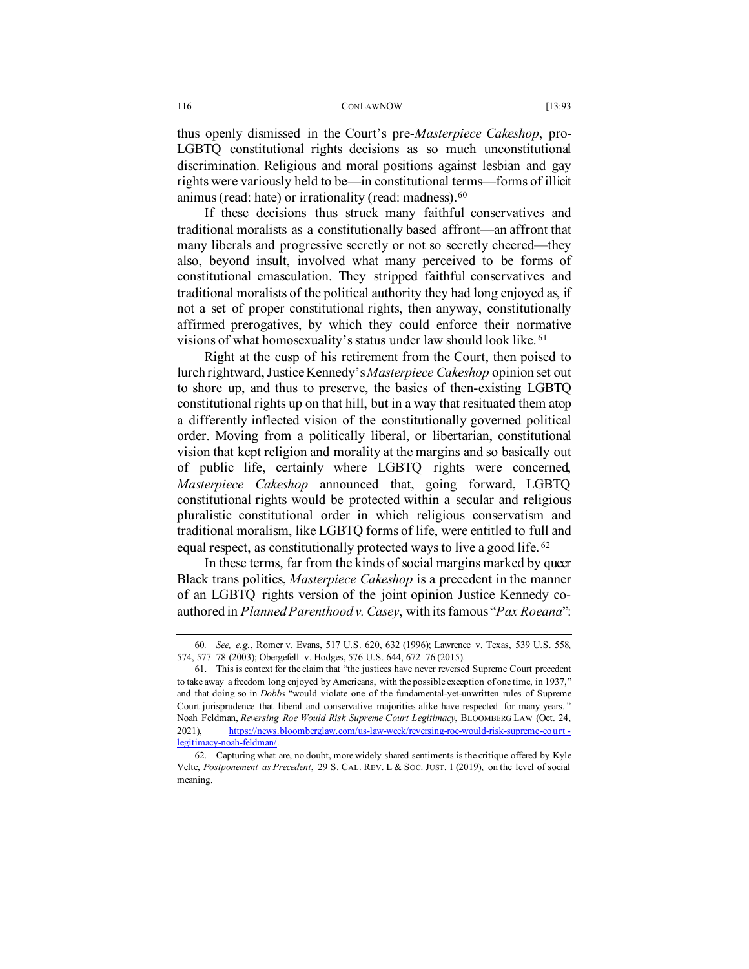thus openly dismissed in the Court's pre-*Masterpiece Cakeshop*, pro-LGBTQ constitutional rights decisions as so much unconstitutional discrimination. Religious and moral positions against lesbian and gay rights were variously held to be—in constitutional terms—forms of illicit animus (read: hate) or irrationality (read: madness)[.60](#page-23-0)

If these decisions thus struck many faithful conservatives and traditional moralists as a constitutionally based affront—an affront that many liberals and progressive secretly or not so secretly cheered—they also, beyond insult, involved what many perceived to be forms of constitutional emasculation. They stripped faithful conservatives and traditional moralists of the political authority they had long enjoyed as, if not a set of proper constitutional rights, then anyway, constitutionally affirmed prerogatives, by which they could enforce their normative visions of what homosexuality's status under law should look like. [61](#page-23-1)

Right at the cusp of his retirement from the Court, then poised to lurch rightward, Justice Kennedy's *Masterpiece Cakeshop* opinion set out to shore up, and thus to preserve, the basics of then-existing LGBTQ constitutional rights up on that hill, but in a way that resituated them atop a differently inflected vision of the constitutionally governed political order. Moving from a politically liberal, or libertarian, constitutional vision that kept religion and morality at the margins and so basically out of public life, certainly where LGBTQ rights were concerned, *Masterpiece Cakeshop* announced that, going forward, LGBTQ constitutional rights would be protected within a secular and religious pluralistic constitutional order in which religious conservatism and traditional moralism, like LGBTQ forms of life, were entitled to full and equal respect, as constitutionally protected ways to live a good life. [62](#page-23-2)

In these terms, far from the kinds of social margins marked by queer Black trans politics, *Masterpiece Cakeshop* is a precedent in the manner of an LGBTQ rights version of the joint opinion Justice Kennedy coauthored in *Planned Parenthood v. Casey*, with its famous "*Pax Roeana*":

<span id="page-23-0"></span><sup>60</sup>*. See, e.g.*, Romer v. Evans, 517 U.S. 620, 632 (1996); Lawrence v. Texas, 539 U.S. 558, 574, 577–78 (2003); Obergefell v. Hodges, 576 U.S. 644, 672–76 (2015).

<span id="page-23-1"></span><sup>61.</sup> This is context for the claim that "the justices have never reversed Supreme Court precedent to take away a freedom long enjoyed by Americans, with the possible exception of one time, in 1937," and that doing so in *Dobbs* "would violate one of the fundamental-yet-unwritten rules of Supreme Court jurisprudence that liberal and conservative majorities alike have respected for many years. " Noah Feldman, *Reversing Roe Would Risk Supreme Court Legitimacy*, BLOOMBERG LAW (Oct. 24, 2021), [https://news.bloomberglaw.com/us-law-week/reversing-roe-would-risk-supreme-court](https://news.bloomberglaw.com/us-law-week/reversing-roe-would-risk-supreme-court-legitimacy-noah-feldman/) [legitimacy-noah-feldman/.](https://news.bloomberglaw.com/us-law-week/reversing-roe-would-risk-supreme-court-legitimacy-noah-feldman/) 

<span id="page-23-2"></span><sup>62.</sup> Capturing what are, no doubt, more widely shared sentiments is the critique offered by Kyle Velte, *Postponement as Precedent*, 29 S. CAL. REV. L & SOC. JUST. 1 (2019), on the level of social meaning.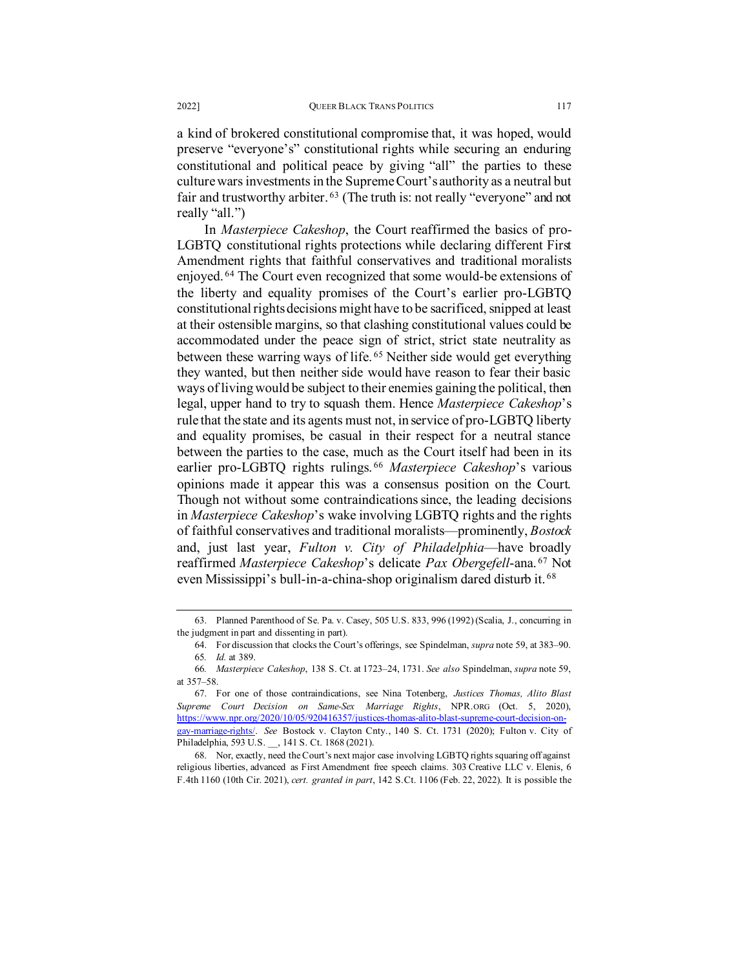a kind of brokered constitutional compromise that, it was hoped, would preserve "everyone's" constitutional rights while securing an enduring constitutional and political peace by giving "all" the parties to these culture wars investments in the Supreme Court's authority as a neutral but fair and trustworthy arbiter. <sup>[63](#page-24-0)</sup> (The truth is: not really "everyone" and not really "all.")

In *Masterpiece Cakeshop*, the Court reaffirmed the basics of pro-LGBTQ constitutional rights protections while declaring different First Amendment rights that faithful conservatives and traditional moralists enjoyed. [64](#page-24-1) The Court even recognized that some would-be extensions of the liberty and equality promises of the Court's earlier pro-LGBTQ constitutional rights decisions might have to be sacrificed, snipped at least at their ostensible margins, so that clashing constitutional values could be accommodated under the peace sign of strict, strict state neutrality as between these warring ways of life. [65](#page-24-2) Neither side would get everything they wanted, but then neither side would have reason to fear their basic ways of living would be subject to their enemies gaining the political, then legal, upper hand to try to squash them. Hence *Masterpiece Cakeshop*'s rule that the state and its agents must not, in service of pro-LGBTQ liberty and equality promises, be casual in their respect for a neutral stance between the parties to the case, much as the Court itself had been in its earlier pro-LGBTQ rights rulings. [66](#page-24-3) *Masterpiece Cakeshop*'s various opinions made it appear this was a consensus position on the Court. Though not without some contraindications since, the leading decisions in *Masterpiece Cakeshop*'s wake involving LGBTQ rights and the rights of faithful conservatives and traditional moralists—prominently, *Bostock* and, just last year, *Fulton v. City of Philadelphia*—have broadly reaffirmed *Masterpiece Cakeshop*'s delicate *Pax Obergefell*-ana. [67](#page-24-4) Not even Mississippi's bull-in-a-china-shop originalism dared disturb it. [68](#page-24-5)

<span id="page-24-1"></span><span id="page-24-0"></span><sup>63.</sup> Planned Parenthood of Se. Pa. v. Casey, 505 U.S. 833, 996 (1992) (Scalia, J., concurring in the judgment in part and dissenting in part).

<sup>64.</sup> For discussion that clocks the Court's offerings, see Spindelman, *supra* not[e 59,](#page-22-3) at 383–90. 65*. Id.* at 389.

<span id="page-24-3"></span><span id="page-24-2"></span><sup>66</sup>*. Masterpiece Cakeshop*, 138 S. Ct. at 1723–24, 1731. *See also* Spindelman, *supra* note [59,](#page-22-3) at 357–58.

<span id="page-24-4"></span><sup>67.</sup> For one of those contraindications, see Nina Totenberg, *Justices Thomas, Alito Blast Supreme Court Decision on Same-Sex Marriage Rights*, NPR.ORG (Oct. 5, 2020), [https://www.npr.org/2020/10/05/920416357/justices-thomas-alito-blast-supreme-court-decision-on](https://www.npr.org/2020/10/05/920416357/justices-thomas-alito-blast-supreme-court-decision-on-gay-marriage-rights/)[gay-marriage-rights/.](https://www.npr.org/2020/10/05/920416357/justices-thomas-alito-blast-supreme-court-decision-on-gay-marriage-rights/) *See* Bostock v. Clayton Cnty., 140 S. Ct. 1731 (2020); Fulton v. City of Philadelphia, 593 U.S. \_\_, 141 S. Ct. 1868 (2021).

<span id="page-24-5"></span><sup>68.</sup> Nor, exactly, need the Court's next major case involving LGBTQ rights squaring off against religious liberties, advanced as First Amendment free speech claims. 303 Creative LLC v. Elenis, 6 F.4th 1160 (10th Cir. 2021), *cert. granted in part*, 142 S.Ct. 1106 (Feb. 22, 2022). It is possible the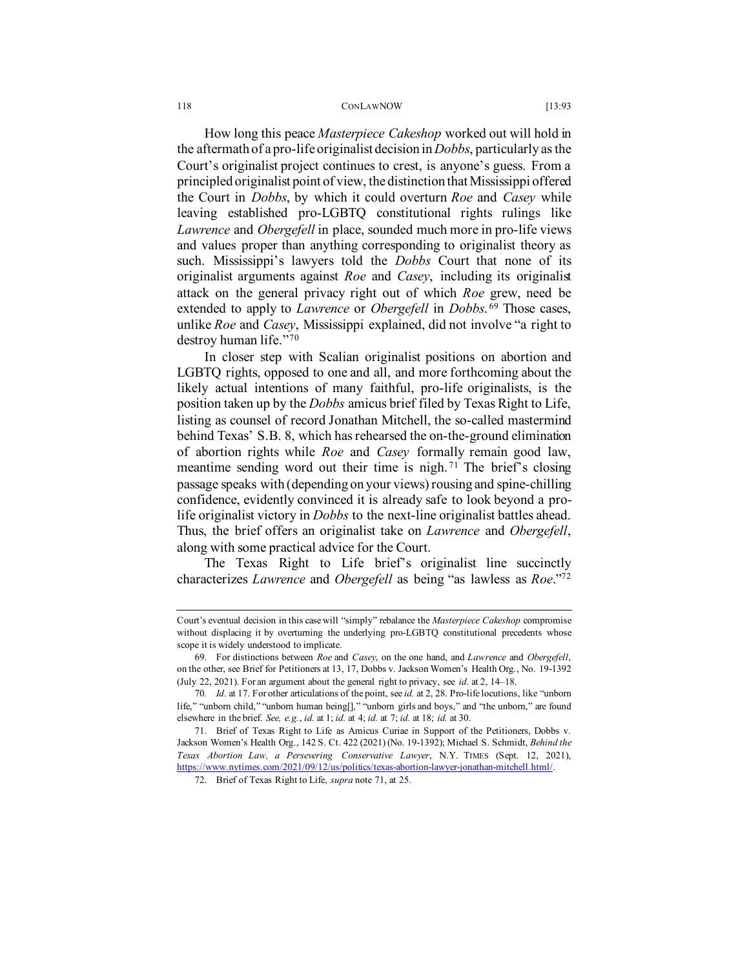How long this peace *Masterpiece Cakeshop* worked out will hold in the aftermath of a pro-life originalist decision in *Dobbs*, particularly as the Court's originalist project continues to crest, is anyone's guess. From a principled originalist point of view, the distinction that Mississippi offered the Court in *Dobbs*, by which it could overturn *Roe* and *Casey* while leaving established pro-LGBTQ constitutional rights rulings like *Lawrence* and *Obergefell* in place, sounded much more in pro-life views and values proper than anything corresponding to originalist theory as such. Mississippi's lawyers told the *Dobbs* Court that none of its originalist arguments against *Roe* and *Casey*, including its originalist attack on the general privacy right out of which *Roe* grew, need be extended to apply to *Lawrence* or *Obergefell* in *Dobbs*.<sup>[69](#page-25-1)</sup> Those cases, unlike *Roe* and *Casey*, Mississippi explained, did not involve "a right to destroy human life."[70](#page-25-2)

In closer step with Scalian originalist positions on abortion and LGBTQ rights, opposed to one and all, and more forthcoming about the likely actual intentions of many faithful, pro-life originalists, is the position taken up by the *Dobbs* amicus brief filed by Texas Right to Life, listing as counsel of record Jonathan Mitchell, the so-called mastermind behind Texas' S.B. 8, which has rehearsed the on-the-ground elimination of abortion rights while *Roe* and *Casey* formally remain good law, meantime sending word out their time is nigh. [71](#page-25-3) The brief's closing passage speaks with (depending on your views) rousing and spine-chilling confidence, evidently convinced it is already safe to look beyond a prolife originalist victory in *Dobbs* to the next-line originalist battles ahead. Thus, the brief offers an originalist take on *Lawrence* and *Obergefell*, along with some practical advice for the Court.

<span id="page-25-0"></span>The Texas Right to Life brief's originalist line succinctly characterizes *Lawrence* and *Obergefell* as being "as lawless as *Roe*.["72](#page-25-4)

Court's eventual decision in this case will "simply" rebalance the *Masterpiece Cakeshop* compromise without displacing it by overturning the underlying pro-LGBTQ constitutional precedents whose scope it is widely understood to implicate.

<span id="page-25-1"></span><sup>69.</sup> For distinctions between *Roe* and *Casey*, on the one hand, and *Lawrence* and *Obergefell*, on the other, see Brief for Petitioners at 13, 17, Dobbs v. Jackson Women's Health Org., No. 19-1392 (July 22, 2021). For an argument about the general right to privacy, see *id*. at 2, 14–18.

<span id="page-25-2"></span><sup>70</sup>*. Id*. at 17. For other articulations of the point, see *id.* at 2, 28. Pro-life locutions, like "unborn life," "unborn child," "unborn human being[]," "unborn girls and boys," and "the unborn," are found elsewhere in the brief. *See, e.g.*, *id.* at 1; *id.* at 4; *id.* at 7; *id.* at 18; *id.* at 30.

<span id="page-25-4"></span><span id="page-25-3"></span><sup>71.</sup> Brief of Texas Right to Life as Amicus Curiae in Support of the Petitioners, Dobbs v. Jackson Women's Health Org., 142 S. Ct. 422 (2021) (No. 19-1392); Michael S. Schmidt, *Behind the Texas Abortion Law, a Persevering Conservative Lawyer*, N.Y. TIMES (Sept. 12, 2021), [https://www.nytimes.com/2021/09/12/us/politics/texas-abortion-lawyer-jonathan-mitchell.html/.](https://www.nytimes.com/2021/09/12/us/politics/texas-abortion-lawyer-jonathan-mitchell.html/)

<sup>72.</sup> Brief of Texas Right to Life, *supra* not[e 71,](#page-25-0) at 25.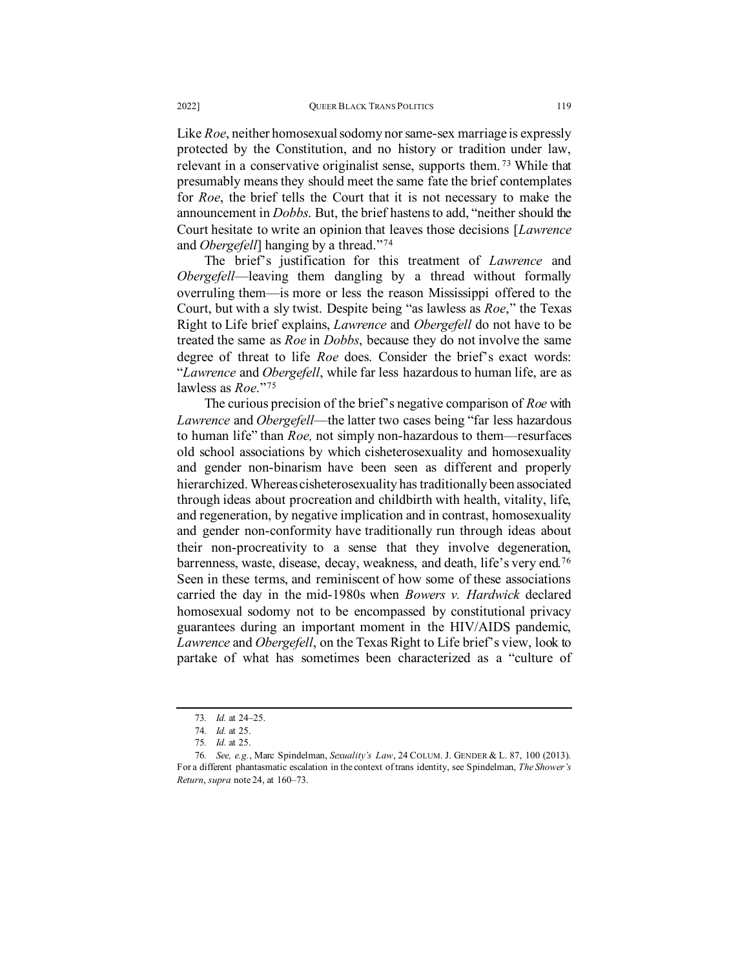Like *Roe*, neither homosexual sodomy nor same-sex marriage is expressly protected by the Constitution, and no history or tradition under law, relevant in a conservative originalist sense, supports them. [73](#page-26-0) While that presumably means they should meet the same fate the brief contemplates for *Roe*, the brief tells the Court that it is not necessary to make the announcement in *Dobbs*. But, the brief hastens to add, "neither should the Court hesitate to write an opinion that leaves those decisions [*Lawrence* and *Obergefell*] hanging by a thread."[74](#page-26-1)

The brief's justification for this treatment of *Lawrence* and *Obergefell*—leaving them dangling by a thread without formally overruling them—is more or less the reason Mississippi offered to the Court, but with a sly twist. Despite being "as lawless as *Roe*," the Texas Right to Life brief explains, *Lawrence* and *Obergefell* do not have to be treated the same as *Roe* in *Dobbs*, because they do not involve the same degree of threat to life *Roe* does. Consider the brief's exact words: "*Lawrence* and *Obergefell*, while far less hazardous to human life, are as lawless as *Roe*."[75](#page-26-2)

The curious precision of the brief's negative comparison of *Roe* with *Lawrence* and *Obergefell*—the latter two cases being "far less hazardous to human life" than *Roe,* not simply non-hazardous to them—resurfaces old school associations by which cisheterosexuality and homosexuality and gender non-binarism have been seen as different and properly hierarchized. Whereas cisheterosexuality has traditionally been associated through ideas about procreation and childbirth with health, vitality, life, and regeneration, by negative implication and in contrast, homosexuality and gender non-conformity have traditionally run through ideas about their non-procreativity to a sense that they involve degeneration, barrenness, waste, disease, decay, weakness, and death, life's very end.[76](#page-26-3) Seen in these terms, and reminiscent of how some of these associations carried the day in the mid-1980s when *Bowers v. Hardwick* declared homosexual sodomy not to be encompassed by constitutional privacy guarantees during an important moment in the HIV/AIDS pandemic, *Lawrence* and *Obergefell*, on the Texas Right to Life brief's view, look to partake of what has sometimes been characterized as a "culture of

<sup>73</sup>*. Id.* at 24–25.

<sup>74</sup>*. Id.* at 25.

<sup>75</sup>*. Id.* at 25.

<span id="page-26-3"></span><span id="page-26-2"></span><span id="page-26-1"></span><span id="page-26-0"></span><sup>76</sup>*. See, e.g.*, Marc Spindelman, *Sexuality's Law*, 24 COLUM. J. GENDER & L. 87, 100 (2013). For a different phantasmatic escalation in the context of trans identity, see Spindelman, *The Shower's Return*, *supra* not[e 24,](#page-9-3) at 160–73.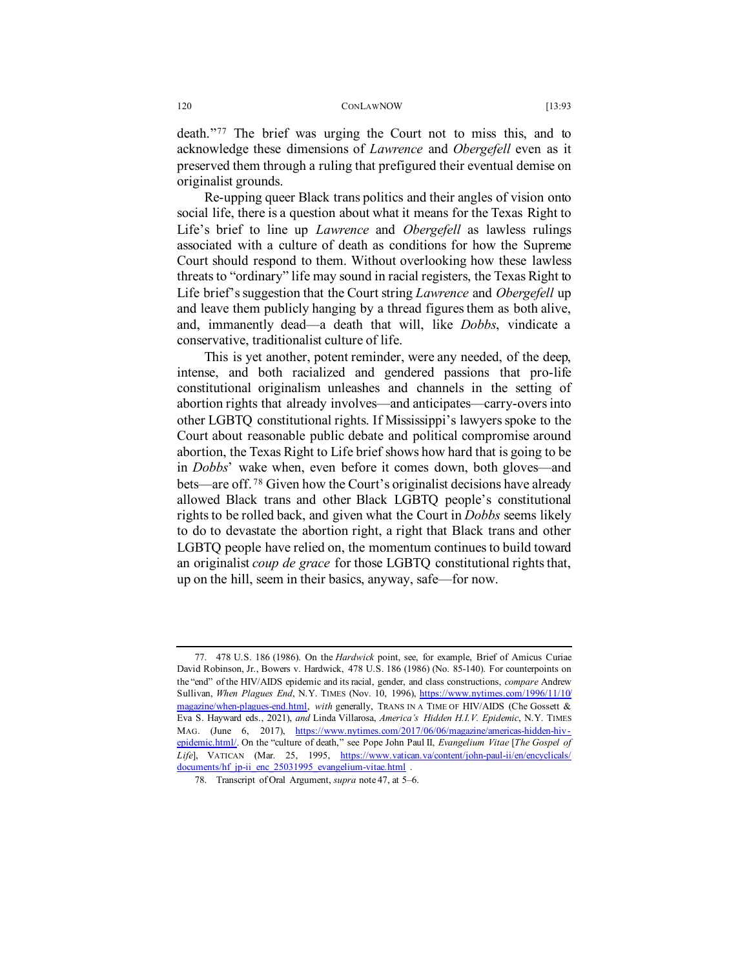death."[77](#page-27-0) The brief was urging the Court not to miss this, and to acknowledge these dimensions of *Lawrence* and *Obergefell* even as it preserved them through a ruling that prefigured their eventual demise on originalist grounds.

Re-upping queer Black trans politics and their angles of vision onto social life, there is a question about what it means for the Texas Right to Life's brief to line up *Lawrence* and *Obergefell* as lawless rulings associated with a culture of death as conditions for how the Supreme Court should respond to them. Without overlooking how these lawless threats to "ordinary" life may sound in racial registers, the Texas Right to Life brief's suggestion that the Court string *Lawrence* and *Obergefell* up and leave them publicly hanging by a thread figures them as both alive, and, immanently dead—a death that will, like *Dobbs*, vindicate a conservative, traditionalist culture of life.

This is yet another, potent reminder, were any needed, of the deep, intense, and both racialized and gendered passions that pro-life constitutional originalism unleashes and channels in the setting of abortion rights that already involves—and anticipates—carry-overs into other LGBTQ constitutional rights. If Mississippi's lawyers spoke to the Court about reasonable public debate and political compromise around abortion, the Texas Right to Life brief shows how hard that is going to be in *Dobbs*' wake when, even before it comes down, both gloves—and bets—are off. [78](#page-27-1) Given how the Court's originalist decisions have already allowed Black trans and other Black LGBTQ people's constitutional rights to be rolled back, and given what the Court in *Dobbs* seems likely to do to devastate the abortion right, a right that Black trans and other LGBTQ people have relied on, the momentum continues to build toward an originalist *coup de grace* for those LGBTQ constitutional rights that, up on the hill, seem in their basics, anyway, safe—for now.

<span id="page-27-0"></span><sup>77.</sup> 478 U.S. 186 (1986). On the *Hardwick* point, see, for example, Brief of Amicus Curiae David Robinson, Jr., Bowers v. Hardwick, 478 U.S. 186 (1986) (No. 85-140). For counterpoints on the "end" of the HIV/AIDS epidemic and its racial, gender, and class constructions, *compare* Andrew Sullivan, *When Plagues End*, N.Y. TIMES (Nov. 10, 1996), [https://www.nytimes.com/1996/11/10/](https://www.nytimes.com/1996/11/10/magazine/when-plagues-end.html) [magazine/when-plagues-end.html,](https://www.nytimes.com/1996/11/10/magazine/when-plagues-end.html) *with* generally, TRANS IN A TIME OF HIV/AIDS (Che Gossett & Eva S. Hayward eds., 2021), *and* Linda Villarosa, *America's Hidden H.I.V. Epidemic*, N.Y. TIMES MAG. (June 6, 2017), [https://www.nytimes.com/2017/06/06/magazine/americas-hidden-hiv](https://www.nytimes.com/2017/06/06/magazine/americas-hidden-hiv-epidemic.html/)[epidemic.html/.](https://www.nytimes.com/2017/06/06/magazine/americas-hidden-hiv-epidemic.html/) On the "culture of death," see Pope John Paul II, *Evangelium Vitae* [*The Gospel of Life*], VATICAN (Mar. 25, 1995, [https://www.vatican.va/content/john-paul-ii/en/encyclicals/](https://www.vatican.va/content/john-paul-ii/en/encyclicals/documents/hf_jp-ii_enc_25031995_evangelium-vitae.html) documents/hf jp-ii enc 25031995 evangelium-vitae.html .

<span id="page-27-1"></span><sup>78.</sup> Transcript of Oral Argument, *supra* note 47, at 5–6.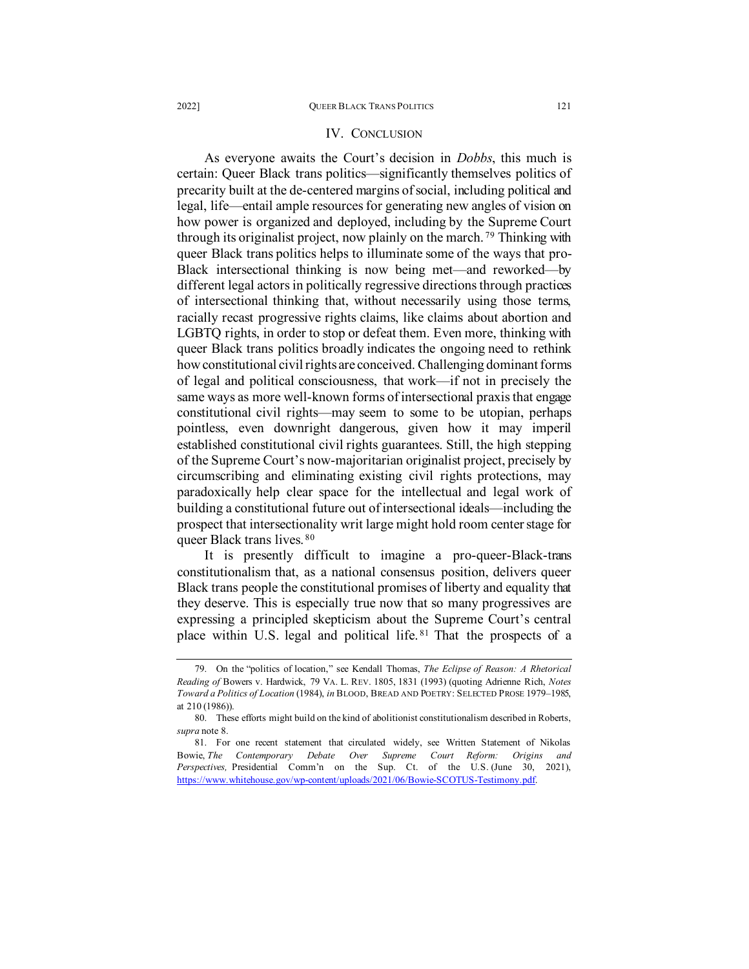# IV. CONCLUSION

As everyone awaits the Court's decision in *Dobbs*, this much is certain: Queer Black trans politics—significantly themselves politics of precarity built at the de-centered margins of social, including political and legal, life—entail ample resources for generating new angles of vision on how power is organized and deployed, including by the Supreme Court through its originalist project, now plainly on the march.<sup>[79](#page-28-0)</sup> Thinking with queer Black trans politics helps to illuminate some of the ways that pro-Black intersectional thinking is now being met—and reworked—by different legal actors in politically regressive directions through practices of intersectional thinking that, without necessarily using those terms, racially recast progressive rights claims, like claims about abortion and LGBTQ rights, in order to stop or defeat them. Even more, thinking with queer Black trans politics broadly indicates the ongoing need to rethink how constitutional civil rights are conceived. Challenging dominant forms of legal and political consciousness, that work—if not in precisely the same ways as more well-known forms of intersectional praxis that engage constitutional civil rights—may seem to some to be utopian, perhaps pointless, even downright dangerous, given how it may imperil established constitutional civil rights guarantees. Still, the high stepping of the Supreme Court's now-majoritarian originalist project, precisely by circumscribing and eliminating existing civil rights protections, may paradoxically help clear space for the intellectual and legal work of building a constitutional future out of intersectional ideals—including the prospect that intersectionality writ large might hold room center stage for queer Black trans lives. [80](#page-28-1)

It is presently difficult to imagine a pro-queer-Black-trans constitutionalism that, as a national consensus position, delivers queer Black trans people the constitutional promises of liberty and equality that they deserve. This is especially true now that so many progressives are expressing a principled skepticism about the Supreme Court's central place within U.S. legal and political life. [81](#page-28-2) That the prospects of a

<span id="page-28-0"></span><sup>79.</sup> On the "politics of location," see Kendall Thomas, *The Eclipse of Reason: A Rhetorical Reading of* Bowers v. Hardwick, 79 VA. L. REV. 1805, 1831 (1993) (quoting Adrienne Rich, *Notes Toward a Politics of Location* (1984), *in* BLOOD, BREAD AND POETRY: SELECTED PROSE 1979–1985, at 210 (1986)).

<span id="page-28-1"></span><sup>80.</sup> These efforts might build on the kind of abolitionist constitutionalism described in Roberts, *supra* note [8.](#page-4-3)

<span id="page-28-2"></span><sup>81.</sup> For one recent statement that circulated widely, see Written Statement of Nikolas Bowie, *The Contemporary Debate Over Supreme Court Reform: Origins and Perspectives,* Presidential Comm'n on the Sup. Ct. of the U.S. (June 30, 2021), [https://www.whitehouse.gov/wp-content/uploads/2021/06/Bowie-SCOTUS-Testimony.pdf.](https://www.whitehouse.gov/wp-content/uploads/2021/06/Bowie-SCOTUS-Testimony.pdf)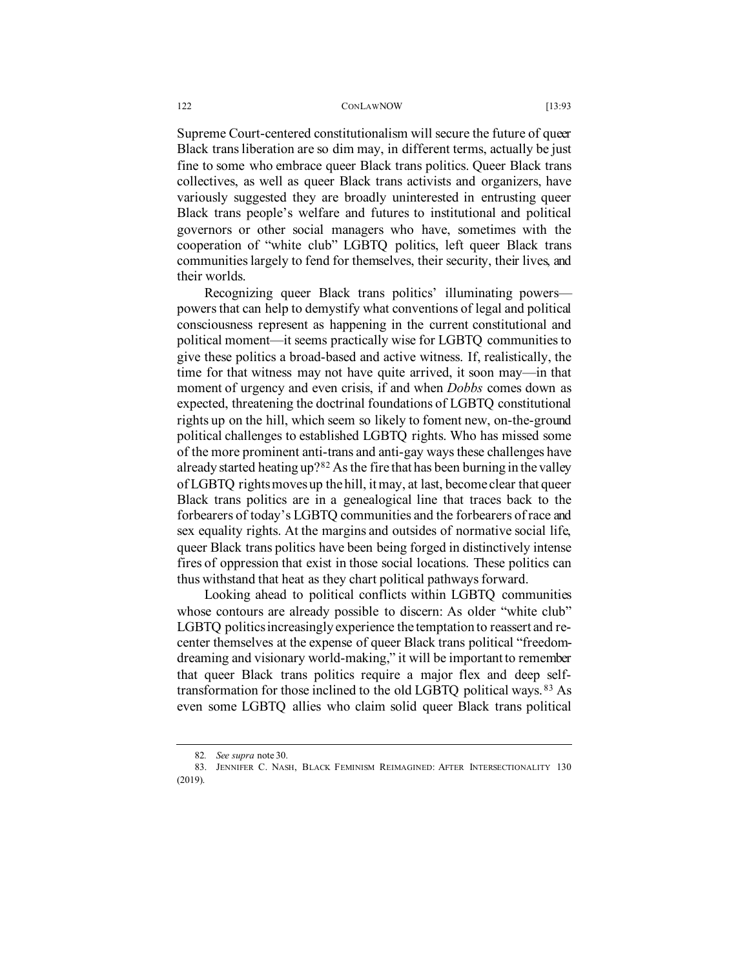Supreme Court-centered constitutionalism will secure the future of queer Black trans liberation are so dim may, in different terms, actually be just fine to some who embrace queer Black trans politics. Queer Black trans collectives, as well as queer Black trans activists and organizers, have variously suggested they are broadly uninterested in entrusting queer Black trans people's welfare and futures to institutional and political governors or other social managers who have, sometimes with the cooperation of "white club" LGBTQ politics, left queer Black trans communities largely to fend for themselves, their security, their lives, and their worlds.

Recognizing queer Black trans politics' illuminating powers powers that can help to demystify what conventions of legal and political consciousness represent as happening in the current constitutional and political moment—it seems practically wise for LGBTQ communities to give these politics a broad-based and active witness. If, realistically, the time for that witness may not have quite arrived, it soon may—in that moment of urgency and even crisis, if and when *Dobbs* comes down as expected, threatening the doctrinal foundations of LGBTQ constitutional rights up on the hill, which seem so likely to foment new, on-the-ground political challenges to established LGBTQ rights. Who has missed some of the more prominent anti-trans and anti-gay ways these challenges have already started heating up?[82](#page-29-0) As the fire that has been burning in the valley of LGBTQ rights moves up the hill, it may, at last, become clear that queer Black trans politics are in a genealogical line that traces back to the forbearers of today's LGBTQ communities and the forbearers of race and sex equality rights. At the margins and outsides of normative social life, queer Black trans politics have been being forged in distinctively intense fires of oppression that exist in those social locations. These politics can thus withstand that heat as they chart political pathways forward.

Looking ahead to political conflicts within LGBTQ communities whose contours are already possible to discern: As older "white club" LGBTQ politics increasingly experience the temptation to reassert and recenter themselves at the expense of queer Black trans political "freedomdreaming and visionary world-making," it will be important to remember that queer Black trans politics require a major flex and deep selftransformation for those inclined to the old LGBTQ political ways. [83](#page-29-1) As even some LGBTQ allies who claim solid queer Black trans political

<sup>82</sup>*. See supra* not[e 30.](#page-11-2)

<span id="page-29-1"></span><span id="page-29-0"></span><sup>83.</sup> JENNIFER C. NASH, BLACK FEMINISM REIMAGINED: AFTER INTERSECTIONALITY 130 (2019).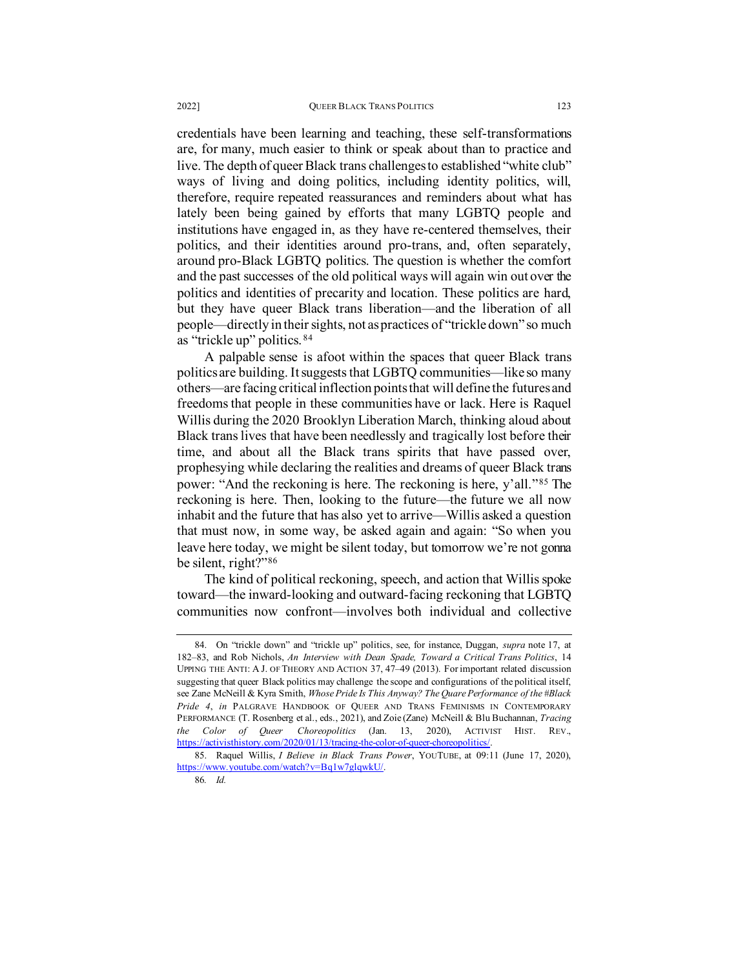are, for many, much easier to think or speak about than to practice and live. The depth of queer Black trans challenges to established "white club" ways of living and doing politics, including identity politics, will, therefore, require repeated reassurances and reminders about what has lately been being gained by efforts that many LGBTQ people and institutions have engaged in, as they have re-centered themselves, their politics, and their identities around pro-trans, and, often separately, around pro-Black LGBTQ politics. The question is whether the comfort and the past successes of the old political ways will again win out over the politics and identities of precarity and location. These politics are hard, but they have queer Black trans liberation—and the liberation of all people—directly in their sights, not as practices of "trickle down" so much as "trickle up" politics. [84](#page-30-0)

A palpable sense is afoot within the spaces that queer Black trans politics are building. It suggests that LGBTQ communities—like so many others—are facing critical inflection points that will define the futures and freedoms that people in these communities have or lack. Here is Raquel Willis during the 2020 Brooklyn Liberation March, thinking aloud about Black trans lives that have been needlessly and tragically lost before their time, and about all the Black trans spirits that have passed over, prophesying while declaring the realities and dreams of queer Black trans power: "And the reckoning is here. The reckoning is here, y'all."[85](#page-30-1) The reckoning is here. Then, looking to the future—the future we all now inhabit and the future that has also yet to arrive—Willis asked a question that must now, in some way, be asked again and again: "So when you leave here today, we might be silent today, but tomorrow we're not gonna be silent, right?"[86](#page-30-2)

The kind of political reckoning, speech, and action that Willis spoke toward—the inward-looking and outward-facing reckoning that LGBTQ communities now confront—involves both individual and collective

<span id="page-30-0"></span><sup>84.</sup> On "trickle down" and "trickle up" politics, see, for instance, Duggan, *supra* note [17,](#page-7-0) at 182–83, and Rob Nichols, *An Interview with Dean Spade, Toward a Critical Trans Politics*, 14 UPPING THE ANTI: A J. OF THEORY AND ACTION 37, 47–49 (2013). For important related discussion suggesting that queer Black politics may challenge the scope and configurations of the political itself, see Zane McNeill & Kyra Smith, *Whose Pride Is This Anyway? The Quare Performance of the #Black Pride 4*, *in* PALGRAVE HANDBOOK OF QUEER AND TRANS FEMINISMS IN CONTEMPORARY PERFORMANCE (T. Rosenberg et al., eds., 2021), and Zoie (Zane) McNeill & Blu Buchannan, *Tracing the Color of Queer Choreopolitics* (Jan. 13, 2020), ACTIVIST HIST. REV., [https://activisthistory.com/2020/01/13/tracing-the-color-of-queer-choreopolitics/.](https://activisthistory.com/2020/01/13/tracing-the-color-of-queer-choreopolitics/) 

<span id="page-30-2"></span><span id="page-30-1"></span><sup>85.</sup> Raquel Willis, *I Believe in Black Trans Power*, YOUTUBE, at 09:11 (June 17, 2020), [https://www.youtube.com/watch?v=Bq1w7glqwkU/.](https://www.youtube.com/watch?v=Bq1w7glqwkU/)

<sup>86</sup>*. Id.*